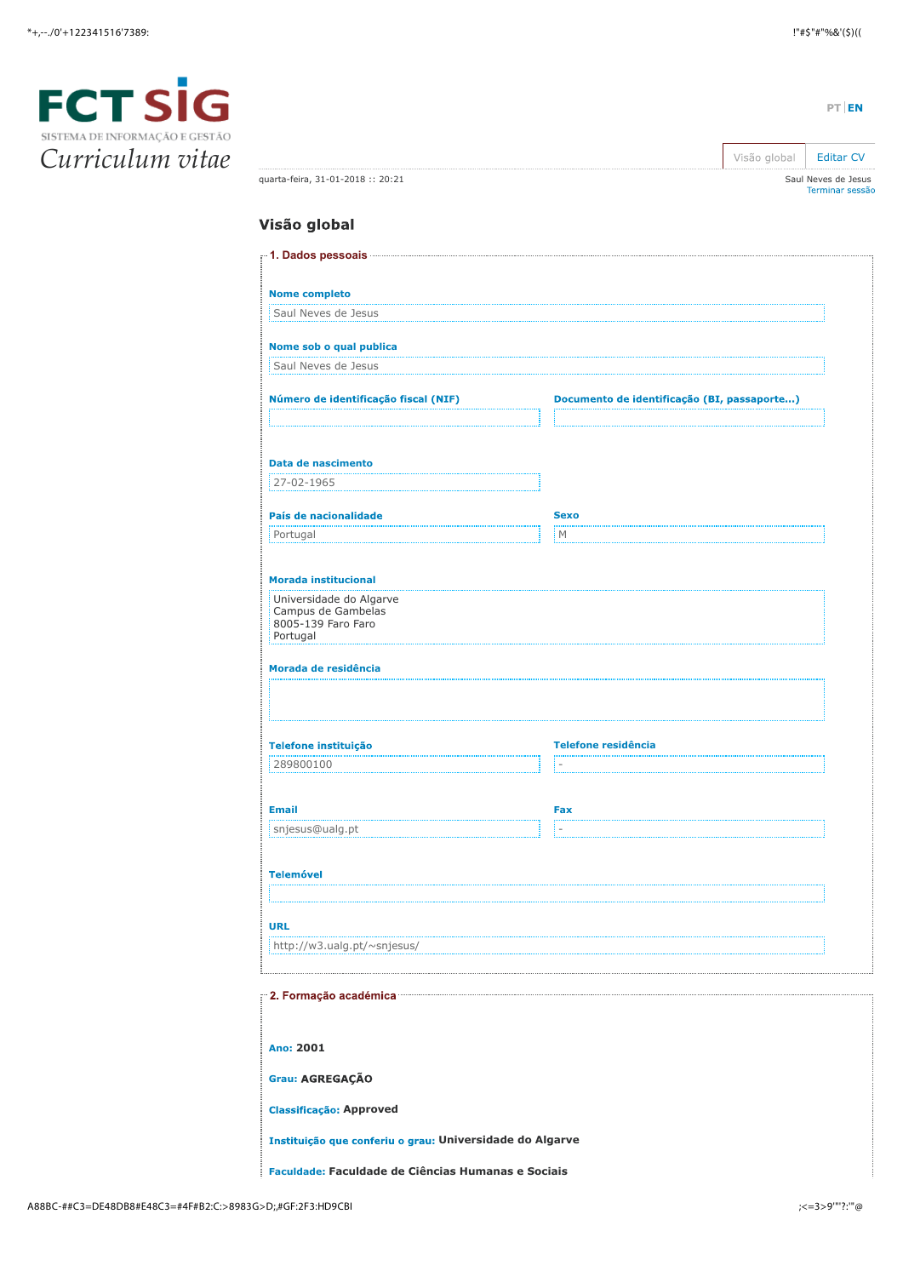

**PT [EN](https://sig.fct.pt/fctsig/cv/presentation.en/overview.aspx)**

Visão global [Editar CV](https://sig.fct.pt/fctsig/cv/presentation.pt/editCV.aspx) quarta-feira, 31-01-2018 :: 20:21

Saul Neves de Jesus<br>Terminar sessão

# Visão global

| 1. Dados pessoais <b>comparis and allegate</b> the sense of the sense of the sense of the sense of the sense of the sense of the sense of the sense of the sense of the sense of the sense of the sense of the sense of the sense o |                                             |  |  |
|-------------------------------------------------------------------------------------------------------------------------------------------------------------------------------------------------------------------------------------|---------------------------------------------|--|--|
|                                                                                                                                                                                                                                     |                                             |  |  |
| <b>Nome completo</b><br>Saul Neves de Jesus                                                                                                                                                                                         |                                             |  |  |
|                                                                                                                                                                                                                                     |                                             |  |  |
| Nome sob o qual publica                                                                                                                                                                                                             |                                             |  |  |
| Saul Neves de Jesus                                                                                                                                                                                                                 |                                             |  |  |
| Número de identificação fiscal (NIF)                                                                                                                                                                                                | Documento de identificação (BI, passaporte) |  |  |
|                                                                                                                                                                                                                                     |                                             |  |  |
|                                                                                                                                                                                                                                     |                                             |  |  |
| <b>Data de nascimento</b>                                                                                                                                                                                                           |                                             |  |  |
| 27-02-1965                                                                                                                                                                                                                          |                                             |  |  |
|                                                                                                                                                                                                                                     |                                             |  |  |
| País de nacionalidade                                                                                                                                                                                                               | Sexo                                        |  |  |
| Portugal                                                                                                                                                                                                                            | M                                           |  |  |
|                                                                                                                                                                                                                                     |                                             |  |  |
| <b>Morada institucional</b>                                                                                                                                                                                                         |                                             |  |  |
| Universidade do Algarve<br>Campus de Gambelas                                                                                                                                                                                       |                                             |  |  |
| 8005-139 Faro Faro<br>Portugal                                                                                                                                                                                                      |                                             |  |  |
|                                                                                                                                                                                                                                     |                                             |  |  |
| Morada de residência                                                                                                                                                                                                                |                                             |  |  |
|                                                                                                                                                                                                                                     |                                             |  |  |
|                                                                                                                                                                                                                                     |                                             |  |  |
| Telefone instituição                                                                                                                                                                                                                | <b>Telefone residência</b>                  |  |  |
| 289800100                                                                                                                                                                                                                           |                                             |  |  |
|                                                                                                                                                                                                                                     |                                             |  |  |
| <b>Email</b>                                                                                                                                                                                                                        | Fax                                         |  |  |
| snjesus@ualg.pt                                                                                                                                                                                                                     |                                             |  |  |
|                                                                                                                                                                                                                                     |                                             |  |  |
| <b>Telemóvel</b>                                                                                                                                                                                                                    |                                             |  |  |
|                                                                                                                                                                                                                                     |                                             |  |  |
| URL                                                                                                                                                                                                                                 |                                             |  |  |
| http://w3.ualg.pt/~snjesus/                                                                                                                                                                                                         |                                             |  |  |
|                                                                                                                                                                                                                                     |                                             |  |  |
|                                                                                                                                                                                                                                     |                                             |  |  |
|                                                                                                                                                                                                                                     |                                             |  |  |
|                                                                                                                                                                                                                                     |                                             |  |  |
| Ano: 2001                                                                                                                                                                                                                           |                                             |  |  |
| Grau: AGREGAÇÃO                                                                                                                                                                                                                     |                                             |  |  |
|                                                                                                                                                                                                                                     |                                             |  |  |
| Classificação: Approved                                                                                                                                                                                                             |                                             |  |  |
| Instituição que conferiu o grau: Universidade do Algarve                                                                                                                                                                            |                                             |  |  |
|                                                                                                                                                                                                                                     |                                             |  |  |
| Faculdade: Faculdade de Ciências Humanas e Sociais                                                                                                                                                                                  |                                             |  |  |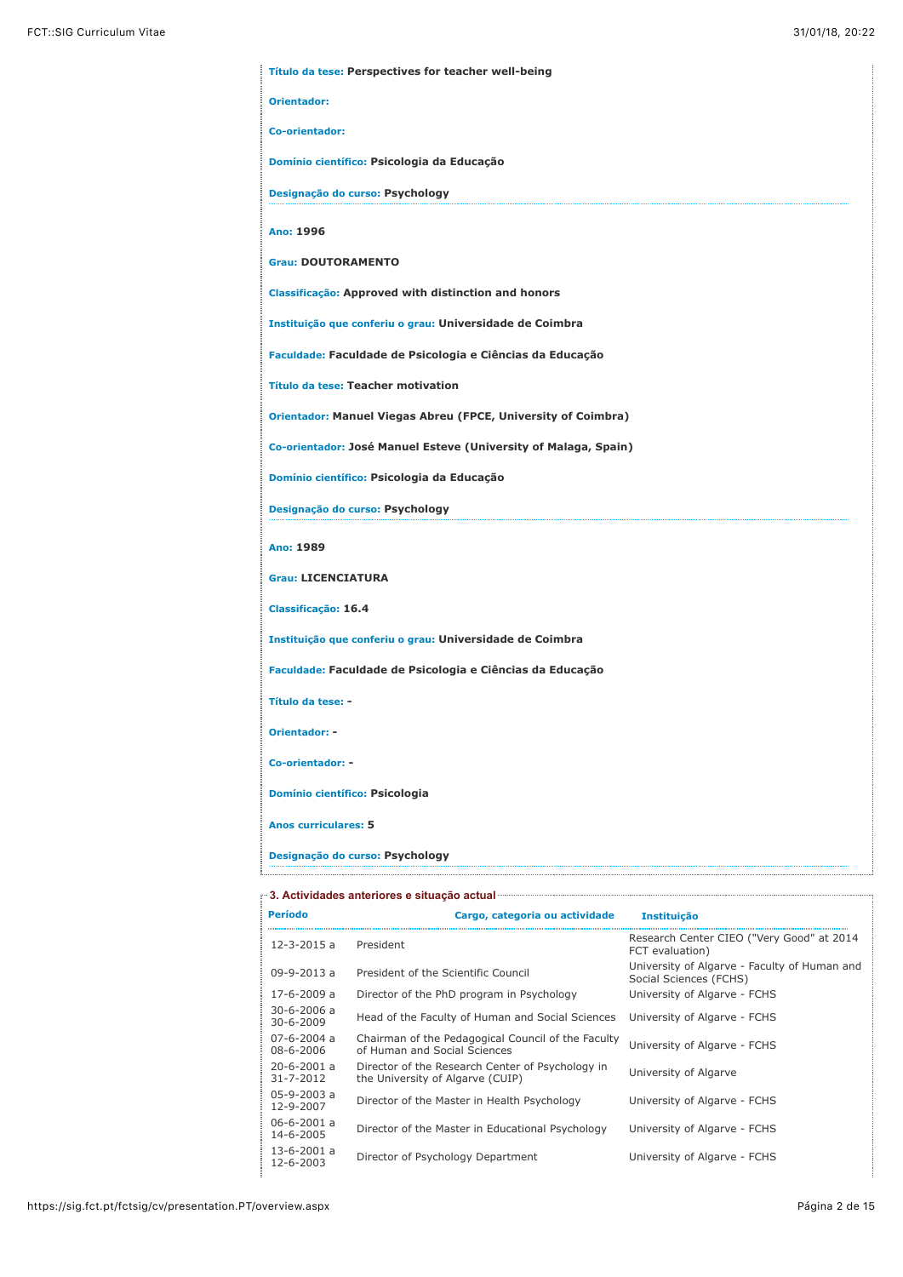| <b>Orientador:</b>                                              |  |  |
|-----------------------------------------------------------------|--|--|
| <b>Co-orientador:</b>                                           |  |  |
| Domínio científico: Psicologia da Educação                      |  |  |
| Designação do curso: Psychology                                 |  |  |
| Ano: 1996                                                       |  |  |
| <b>Grau: DOUTORAMENTO</b>                                       |  |  |
| Classificação: Approved with distinction and honors             |  |  |
| Instituição que conferiu o grau: Universidade de Coimbra        |  |  |
| Faculdade: Faculdade de Psicologia e Ciências da Educação       |  |  |
| <b>Título da tese: Teacher motivation</b>                       |  |  |
| Orientador: Manuel Viegas Abreu (FPCE, University of Coimbra)   |  |  |
| Co-orientador: José Manuel Esteve (University of Malaga, Spain) |  |  |
| Domínio científico: Psicologia da Educação                      |  |  |
| Designação do curso: Psychology                                 |  |  |
| Ano: 1989                                                       |  |  |
| <b>Grau: LICENCIATURA</b>                                       |  |  |
| Classificação: 16.4                                             |  |  |
| Instituição que conferiu o grau: Universidade de Coimbra        |  |  |
| Faculdade: Faculdade de Psicologia e Ciências da Educação       |  |  |
| Título da tese: -                                               |  |  |
| <b>Orientador: -</b>                                            |  |  |
| Co-orientador: -                                                |  |  |
| Domínio científico: Psicologia                                  |  |  |
| <b>Anos curriculares: 5</b>                                     |  |  |
| Designação do curso: Psychology                                 |  |  |

| <b>Período</b>                       | Cargo, categoria ou actividade                                                       | <b>Instituição</b>                                                     |
|--------------------------------------|--------------------------------------------------------------------------------------|------------------------------------------------------------------------|
| $12 - 3 - 2015$ a                    | President                                                                            | Research Center CIEO ("Very Good" at 2014<br>FCT evaluation)           |
| $09 - 9 - 2013a$                     | President of the Scientific Council                                                  | University of Algarve - Faculty of Human and<br>Social Sciences (FCHS) |
| $17-6-2009a$                         | Director of the PhD program in Psychology                                            | University of Algarve - FCHS                                           |
| $30 - 6 - 2006$ a<br>$30 - 6 - 2009$ | Head of the Faculty of Human and Social Sciences                                     | University of Algarve - FCHS                                           |
| $07 - 6 - 2004$ a<br>08-6-2006       | Chairman of the Pedagogical Council of the Faculty<br>of Human and Social Sciences   | University of Algarve - FCHS                                           |
| $20 - 6 - 2001$ a<br>$31 - 7 - 2012$ | Director of the Research Center of Psychology in<br>the University of Algarve (CUIP) | University of Algarve                                                  |
| $05-9-2003a$<br>12-9-2007            | Director of the Master in Health Psychology                                          | University of Algarve - FCHS                                           |
| $06 - 6 - 2001$ a<br>14-6-2005       | Director of the Master in Educational Psychology                                     | University of Algarve - FCHS                                           |
| $13-6-2001$ a<br>12-6-2003           | Director of Psychology Department                                                    | University of Algarve - FCHS                                           |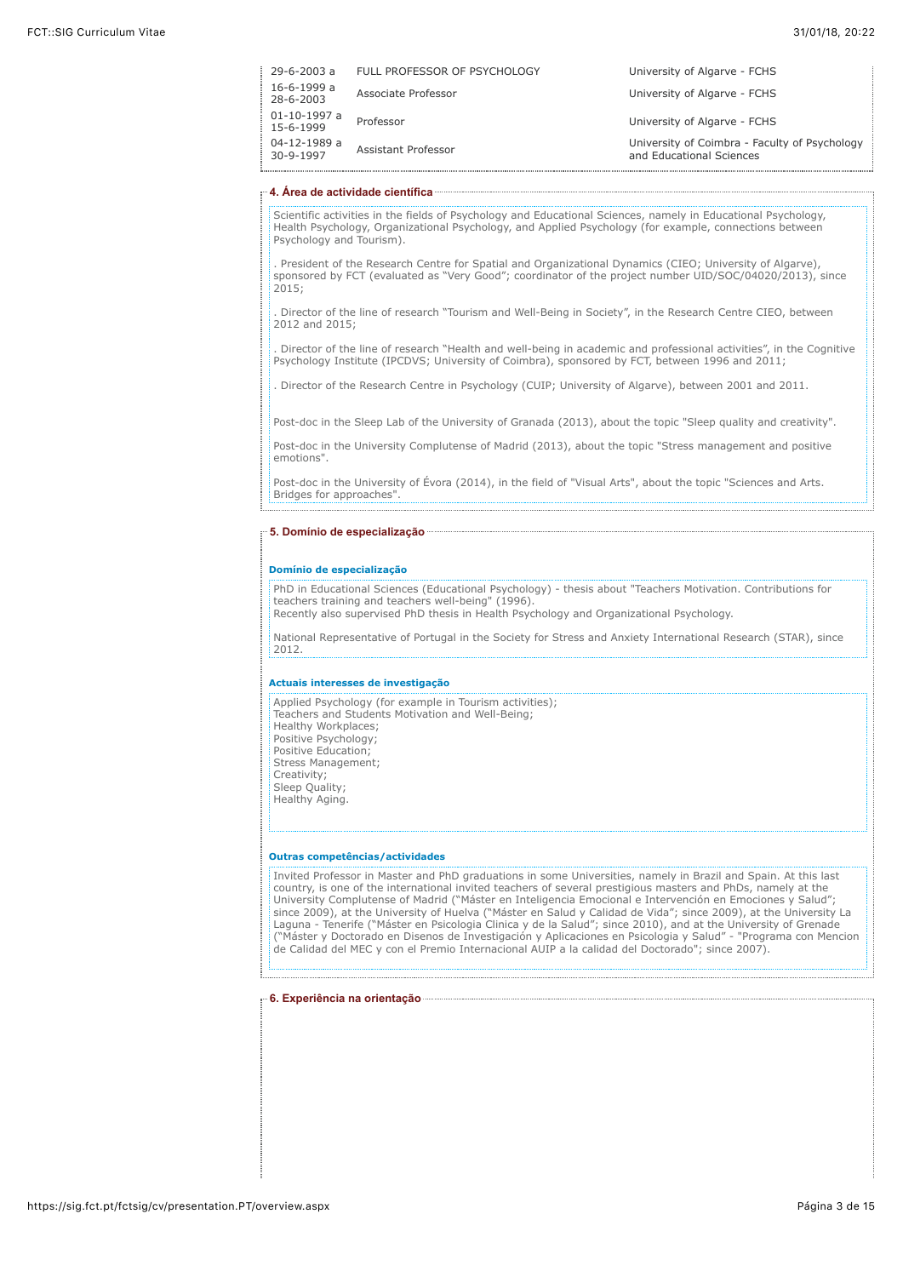| 16-6-1999 a<br>Associate Professor<br>University of Algarve - FCHS<br>28-6-2003<br>01-10-1997 a<br>Professor<br>University of Algarve - FCHS<br>15-6-1999<br>04-12-1989 a<br>Assistant Professor<br>and Educational Sciences<br>30-9-1997 | 29-6-2003 a | FULL PROFESSOR OF PSYCHOLOGY | University of Algarve - FCHS                  |
|-------------------------------------------------------------------------------------------------------------------------------------------------------------------------------------------------------------------------------------------|-------------|------------------------------|-----------------------------------------------|
|                                                                                                                                                                                                                                           |             |                              |                                               |
|                                                                                                                                                                                                                                           |             |                              |                                               |
|                                                                                                                                                                                                                                           |             |                              | University of Coimbra - Faculty of Psychology |

### **4. Área de actividade científica**

Scientific activities in the fields of Psychology and Educational Sciences, namely in Educational Psychology, Health Psychology, Organizational Psychology, and Applied Psychology (for example, connections between Psychology and Tourism).

. President of the Research Centre for Spatial and Organizational Dynamics (CIEO; University of Algarve), sponsored by FCT (evaluated as "Very Good"; coordinator of the project number UID/SOC/04020/2013), since 2015;

. Director of the line of research "Tourism and Well-Being in Society", in the Research Centre CIEO, between 2012 and 2015;

. Director of the line of research "Health and well-being in academic and professional activities", in the Cognitive Psychology Institute (IPCDVS; University of Coimbra), sponsored by FCT, between 1996 and 2011;

. Director of the Research Centre in Psychology (CUIP; University of Algarve), between 2001 and 2011.

Post-doc in the Sleep Lab of the University of Granada (2013), about the topic "Sleep quality and creativity".

Post-doc in the University Complutense of Madrid (2013), about the topic "Stress management and positive emotions".

Post-doc in the University of Évora (2014), in the field of "Visual Arts", about the topic "Sciences and Arts. Bridges for approaches".

### **5. Domínio de especialização**

#### **Domínio de especialização**

PhD in Educational Sciences (Educational Psychology) - thesis about "Teachers Motivation. Contributions for teachers training and teachers well-being" (1996). Recently also supervised PhD thesis in Health Psychology and Organizational Psychology.

National Representative of Portugal in the Society for Stress and Anxiety International Research (STAR), since 2012.

#### **Actuais interesses de investigação**

Applied Psychology (for example in Tourism activities); Teachers and Students Motivation and Well-Being; Healthy Workplaces; Positive Psychology; Positive Education; Stress Management; Creativity; Sleep Quality; Healthy Aging.

#### **Outras competências/actividades**

Invited Professor in Master and PhD graduations in some Universities, namely in Brazil and Spain. At this last country, is one of the international invited teachers of several prestigious masters and PhDs, namely at the University Complutense of Madrid ("Máster en Inteligencia Emocional e Intervención en Emociones y Salud"; since 2009), at the University of Huelva ("Máster en Salud y Calidad de Vida"; since 2009), at the University La Laguna - Tenerife ("Máster en Psicologia Clinica y de la Salud"; since 2010), and at the University of Grenade ("Máster y Doctorado en Disenos de Investigación y Aplicaciones en Psicologia y Salud" - "Programa con Mencion de Calidad del MEC y con el Premio Internacional AUIP a la calidad del Doctorado"; since 2007).

#### **6. Experiência na orientação**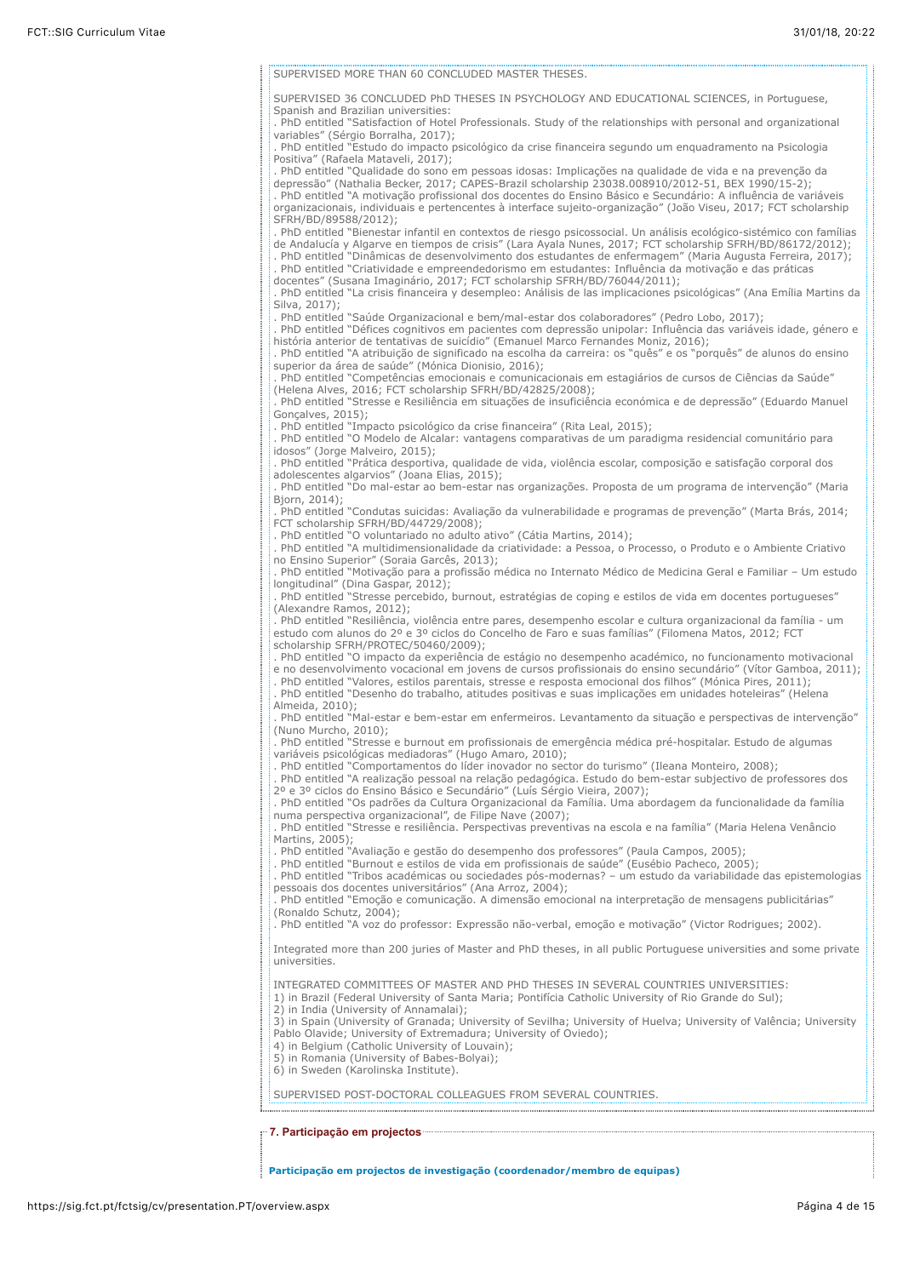**7. Participação em projectos SUPERVISED MORE THAN 60 CONCLUDED MASTER THESES.** SUPERVISED 36 CONCLUDED PhD THESES IN PSYCHOLOGY AND EDUCATIONAL SCIENCES, in Portuguese, Spanish and Brazilian universities: . PhD entitled "Satisfaction of Hotel Professionals. Study of the relationships with personal and organizational variables" (Sérgio Borralha, 2017); . PhD entitled "Estudo do impacto psicológico da crise financeira segundo um enquadramento na Psicologia Positiva" (Rafaela Mataveli, 2017); . PhD entitled "Qualidade do sono em pessoas idosas: Implicações na qualidade de vida e na prevenção da depressão" (Nathalia Becker, 2017; CAPES-Brazil scholarship 23038.008910/2012-51, BEX 1990/15-2); . PhD entitled "A motivação profissional dos docentes do Ensino Básico e Secundário: A influência de variáveis organizacionais, individuais e pertencentes à interface sujeito-organização" (João Viseu, 2017; FCT scholarship SFRH/BD/89588/2012); . PhD entitled "Bienestar infantil en contextos de riesgo psicossocial. Un análisis ecológico-sistémico con famílias de Andalucía y Algarve en tiempos de crisis" (Lara Ayala Nunes, 2017; FCT scholarship SFRH/BD/86172/2012); . PhD entitled "Dinâmicas de desenvolvimento dos estudantes de enfermagem" (Maria Augusta Ferreira, 2017); . PhD entitled "Criatividade e empreendedorismo em estudantes: Influência da motivação e das práticas docentes" (Susana Imaginário, 2017; FCT scholarship SFRH/BD/76044/2011); . PhD entitled "La crisis financeira y desempleo: Análisis de las implicaciones psicológicas" (Ana Emília Martins da Silva, 2017); . PhD entitled "Saúde Organizacional e bem/mal-estar dos colaboradores" (Pedro Lobo, 2017); . PhD entitled "Défices cognitivos em pacientes com depressão unipolar: Influência das variáveis idade, género e história anterior de tentativas de suicídio" (Emanuel Marco Fernandes Moniz, 2016); . PhD entitled "A atribuição de significado na escolha da carreira: os "quês" e os "porquês" de alunos do ensino superior da área de saúde" (Mónica Dionisio, 2016); . PhD entitled "Competências emocionais e comunicacionais em estagiários de cursos de Ciências da Saúde" (Helena Alves, 2016; FCT scholarship SFRH/BD/42825/2008); . PhD entitled "Stresse e Resiliência em situações de insuficiência económica e de depressão" (Eduardo Manuel Gonçalves, 2015); . PhD entitled "Impacto psicológico da crise financeira" (Rita Leal, 2015); . PhD entitled "O Modelo de Alcalar: vantagens comparativas de um paradigma residencial comunitário para idosos" (Jorge Malveiro, 2015); . PhD entitled "Prática desportiva, qualidade de vida, violência escolar, composição e satisfação corporal dos adolescentes algarvios" (Joana Elias, 2015); . PhD entitled "Do mal-estar ao bem-estar nas organizações. Proposta de um programa de intervenção" (Maria Bjorn, 2014); . PhD entitled "Condutas suicidas: Avaliação da vulnerabilidade e programas de prevenção" (Marta Brás, 2014; FCT scholarship SFRH/BD/44729/2008); . PhD entitled "O voluntariado no adulto ativo" (Cátia Martins, 2014); . PhD entitled "A multidimensionalidade da criatividade: a Pessoa, o Processo, o Produto e o Ambiente Criativo no Ensino Superior" (Soraia Garcês, 2013); . PhD entitled "Motivação para a profissão médica no Internato Médico de Medicina Geral e Familiar – Um estudo longitudinal" (Dina Gaspar, 2012); . PhD entitled "Stresse percebido, burnout, estratégias de coping e estilos de vida em docentes portugueses" (Alexandre Ramos, 2012); . PhD entitled "Resiliência, violência entre pares, desempenho escolar e cultura organizacional da família - um estudo com alunos do 2º e 3º ciclos do Concelho de Faro e suas famílias" (Filomena Matos, 2012; FCT scholarship SFRH/PROTEC/50460/2009); . PhD entitled "O impacto da experiência de estágio no desempenho académico, no funcionamento motivacional e no desenvolvimento vocacional em jovens de cursos profissionais do ensino secundário" (Vítor Gamboa, 2011); . PhD entitled "Valores, estilos parentais, stresse e resposta emocional dos filhos" (Mónica Pires, 2011); . PhD entitled "Desenho do trabalho, atitudes positivas e suas implicações em unidades hoteleiras" (Helena Almeida, 2010); . PhD entitled "Mal-estar e bem-estar em enfermeiros. Levantamento da situação e perspectivas de intervenção" (Nuno Murcho, 2010); . PhD entitled "Stresse e burnout em profissionais de emergência médica pré-hospitalar. Estudo de algumas variáveis psicológicas mediadoras" (Hugo Amaro, 2010); . PhD entitled "Comportamentos do líder inovador no sector do turismo" (Ileana Monteiro, 2008); . PhD entitled "A realização pessoal na relação pedagógica. Estudo do bem-estar subjectivo de professores dos 2º e 3º ciclos do Ensino Básico e Secundário" (Luís Sérgio Vieira, 2007); . PhD entitled "Os padrões da Cultura Organizacional da Família. Uma abordagem da funcionalidade da família numa perspectiva organizacional", de Filipe Nave (2007) . PhD entitled "Stresse e resiliência. Perspectivas preventivas na escola e na família" (Maria Helena Venâncio Martins, 2005) . PhD entitled "Avaliação e gestão do desempenho dos professores" (Paula Campos, 2005); . PhD entitled "Burnout e estilos de vida em profissionais de saúde" (Eusébio Pacheco, 2005); . PhD entitled "Tribos académicas ou sociedades pós-modernas? – um estudo da variabilidade das epistemologias pessoais dos docentes universitários" (Ana Arroz, 2004); . PhD entitled "Emoção e comunicação. A dimensão emocional na interpretação de mensagens publicitárias" (Ronaldo Schutz, 2004); . PhD entitled "A voz do professor: Expressão não-verbal, emoção e motivação" (Victor Rodrigues; 2002). Integrated more than 200 juries of Master and PhD theses, in all public Portuguese universities and some private universities. INTEGRATED COMMITTEES OF MASTER AND PHD THESES IN SEVERAL COUNTRIES UNIVERSITIES: 1) in Brazil (Federal University of Santa Maria; Pontifícia Catholic University of Rio Grande do Sul); 2) in India (University of Annamalai); 3) in Spain (University of Granada; University of Sevilha; University of Huelva; University of Valência; University Pablo Olavide; University of Extremadura; University of Oviedo); 4) in Belgium (Catholic University of Louvain); 5) in Romania (University of Babes-Bolyai); 6) in Sweden (Karolinska Institute). SUPERVISED POST-DOCTORAL COLLEAGUES FROM SEVERAL COUNTRIES.

**Participação em projectos de investigação (coordenador/membro de equipas)**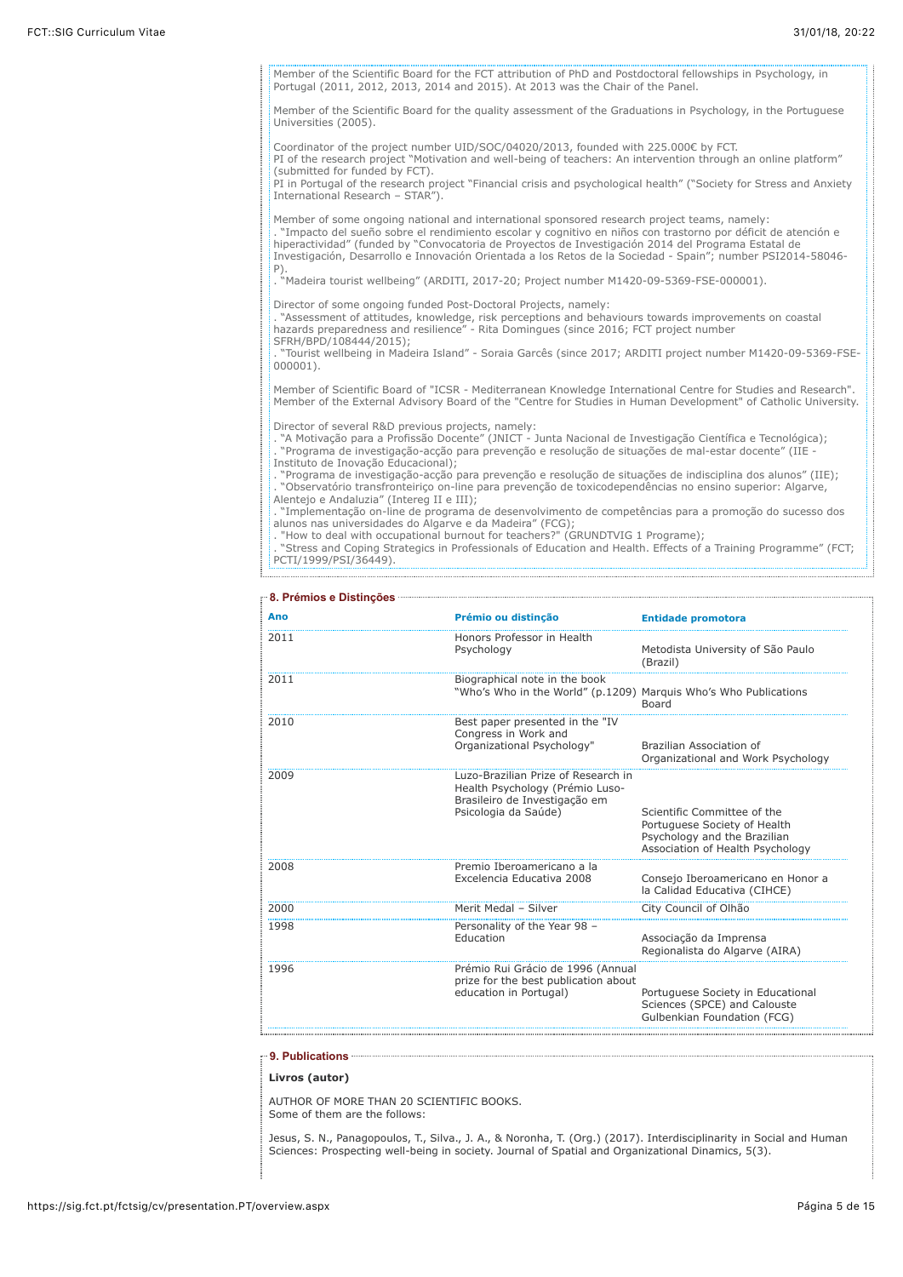Member of the Scientific Board for the FCT attribution of PhD and Postdoctoral fellowships in Psychology, in Portugal (2011, 2012, 2013, 2014 and 2015). At 2013 was the Chair of the Panel.

Member of the Scientific Board for the quality assessment of the Graduations in Psychology, in the Portuguese Universities (2005).

Coordinator of the project number UID/SOC/04020/2013, founded with 225.000€ by FCT. PI of the research project "Motivation and well-being of teachers: An intervention through an online platform" (submitted for funded by FCT). PI in Portugal of the research project "Financial crisis and psychological health" ("Society for Stress and Anxiety

International Research – STAR").

Member of some ongoing national and international sponsored research project teams, namely: . "Impacto del sueño sobre el rendimiento escolar y cognitivo en niños con trastorno por déficit de atención e hiperactividad" (funded by "Convocatoria de Proyectos de Investigación 2014 del Programa Estatal de Investigación, Desarrollo e Innovación Orientada a los Retos de la Sociedad - Spain"; number PSI2014-58046- P).

. "Madeira tourist wellbeing" (ARDITI, 2017-20; Project number M1420-09-5369-FSE-000001).

Director of some ongoing funded Post-Doctoral Projects, namely:

. "Assessment of attitudes, knowledge, risk perceptions and behaviours towards improvements on coastal hazards preparedness and resilience" - Rita Domingues (since 2016; FCT project number SFRH/BPD/108444/2015);

. "Tourist wellbeing in Madeira Island" - Soraia Garcês (since 2017; ARDITI project number M1420-09-5369-FSE-000001).

Member of Scientific Board of "ICSR - Mediterranean Knowledge International Centre for Studies and Research". Member of the External Advisory Board of the "Centre for Studies in Human Development" of Catholic University.

Director of several R&D previous projects, namely:

. "A Motivação para a Profissão Docente" (JNICT - Junta Nacional de Investigação Científica e Tecnológica); . "Programa de investigação-acção para prevenção e resolução de situações de mal-estar docente" (IIE -

Instituto de Inovação Educacional);

. "Programa de investigação-acção para prevenção e resolução de situações de indisciplina dos alunos" (IIE); . "Observatório transfronteiriço on-line para prevenção de toxicodependências no ensino superior: Algarve, Alentejo e Andaluzia" (Intereg II e III);

. "Implementação on-line de programa de desenvolvimento de competências para a promoção do sucesso dos alunos nas universidades do Algarve e da Madeira" (FCG);

. "How to deal with occupational burnout for teachers?" (GRUNDTVIG 1 Programe);

. "Stress and Coping Strategics in Professionals of Education and Health. Effects of a Training Programme" (FCT; PCTI/1999/PSI/36449).

| <b>∵≅8. Prémios e Distinções</b> |                                                                                                                                 |                                                                                                                                 |
|----------------------------------|---------------------------------------------------------------------------------------------------------------------------------|---------------------------------------------------------------------------------------------------------------------------------|
| Ano                              | Prémio ou distinção                                                                                                             | <b>Entidade promotora</b>                                                                                                       |
| 2011                             | Honors Professor in Health<br>Psychology                                                                                        | Metodista University of São Paulo<br>(Brazil)                                                                                   |
| 2011                             | Biographical note in the book<br>"Who's Who in the World" (p.1209) Marquis Who's Who Publications                               | Board                                                                                                                           |
| 2010                             | Best paper presented in the "IV<br>Congress in Work and<br>Organizational Psychology"                                           | Brazilian Association of<br>Organizational and Work Psychology                                                                  |
| 2009                             | Luzo-Brazilian Prize of Research in<br>Health Psychology (Prémio Luso-<br>Brasileiro de Investigação em<br>Psicologia da Saúde) | Scientific Committee of the<br>Portuguese Society of Health<br>Psychology and the Brazilian<br>Association of Health Psychology |
| 2008                             | Premio Iberoamericano a la<br>Excelencia Educativa 2008                                                                         | Consejo Iberoamericano en Honor a<br>la Calidad Educativa (CIHCE)                                                               |
| 2000                             | Merit Medal - Silver                                                                                                            | City Council of Olhão                                                                                                           |
| 1998                             | Personality of the Year 98 -<br>Education                                                                                       | Associação da Imprensa<br>Regionalista do Algarve (AIRA)                                                                        |
| 1996                             | Prémio Rui Grácio de 1996 (Annual<br>prize for the best publication about<br>education in Portugal)                             | Portuguese Society in Educational<br>Sciences (SPCE) and Calouste<br>Gulbenkian Foundation (FCG)                                |
|                                  |                                                                                                                                 |                                                                                                                                 |

## **9. Publications**

**Livros (autor)**

AUTHOR OF MORE THAN 20 SCIENTIFIC BOOKS. Some of them are the follows:

Jesus, S. N., Panagopoulos, T., Silva., J. A., & Noronha, T. (Org.) (2017). Interdisciplinarity in Social and Human Sciences: Prospecting well-being in society. Journal of Spatial and Organizational Dinamics, 5(3).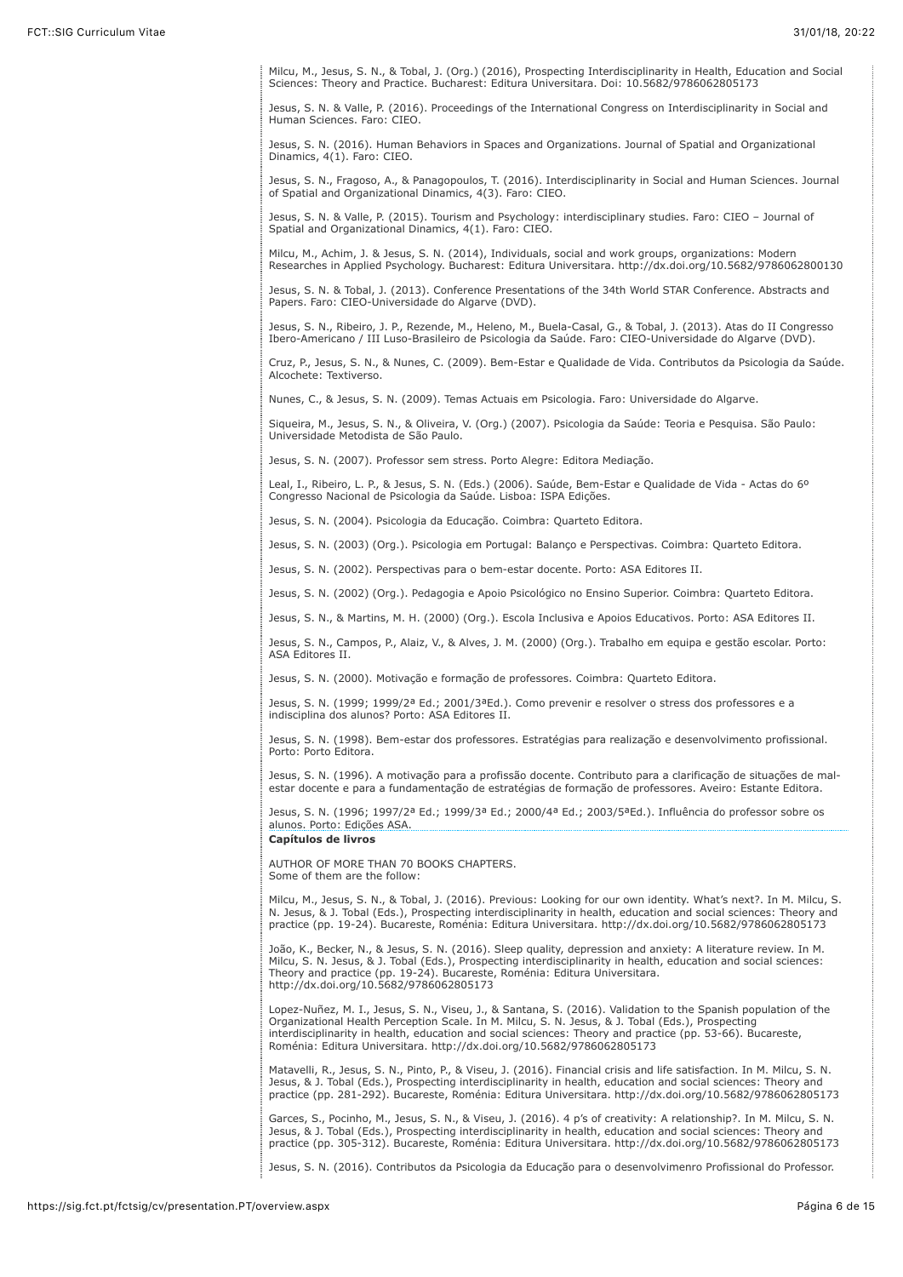Milcu, M., Jesus, S. N., & Tobal, J. (Org.) (2016), Prospecting Interdisciplinarity in Health, Education and Social Sciences: Theory and Practice. Bucharest: Editura Universitara. Doi: 10.5682/9786062805173

Jesus, S. N. & Valle, P. (2016). Proceedings of the International Congress on Interdisciplinarity in Social and Human Sciences. Faro: CIEO.

Jesus, S. N. (2016). Human Behaviors in Spaces and Organizations. Journal of Spatial and Organizational Dinamics, 4(1). Faro: CIEO.

Jesus, S. N., Fragoso, A., & Panagopoulos, T. (2016). Interdisciplinarity in Social and Human Sciences. Journal of Spatial and Organizational Dinamics, 4(3). Faro: CIEO.

Jesus, S. N. & Valle, P. (2015). Tourism and Psychology: interdisciplinary studies. Faro: CIEO – Journal of Spatial and Organizational Dinamics, 4(1). Faro: CIEO.

Milcu, M., Achim, J. & Jesus, S. N. (2014), Individuals, social and work groups, organizations: Modern Researches in Applied Psychology. Bucharest: Editura Universitara. http://dx.doi.org/10.5682/9786062800130

Jesus, S. N. & Tobal, J. (2013). Conference Presentations of the 34th World STAR Conference. Abstracts and Papers. Faro: CIEO-Universidade do Algarve (DVD).

Jesus, S. N., Ribeiro, J. P., Rezende, M., Heleno, M., Buela-Casal, G., & Tobal, J. (2013). Atas do II Congresso Ibero-Americano / III Luso-Brasileiro de Psicologia da Saúde. Faro: CIEO-Universidade do Algarve (DVD).

Cruz, P., Jesus, S. N., & Nunes, C. (2009). Bem-Estar e Qualidade de Vida. Contributos da Psicologia da Saúde. Alcochete: Textiverso.

Nunes, C., & Jesus, S. N. (2009). Temas Actuais em Psicologia. Faro: Universidade do Algarve.

Siqueira, M., Jesus, S. N., & Oliveira, V. (Org.) (2007). Psicologia da Saúde: Teoria e Pesquisa. São Paulo: Universidade Metodista de São Paulo.

Jesus, S. N. (2007). Professor sem stress. Porto Alegre: Editora Mediação.

Leal, I., Ribeiro, L. P., & Jesus, S. N. (Eds.) (2006). Saúde, Bem-Estar e Qualidade de Vida - Actas do 6º Congresso Nacional de Psicologia da Saúde. Lisboa: ISPA Edições.

Jesus, S. N. (2004). Psicologia da Educação. Coimbra: Quarteto Editora.

Jesus, S. N. (2003) (Org.). Psicologia em Portugal: Balanço e Perspectivas. Coimbra: Quarteto Editora.

Jesus, S. N. (2002). Perspectivas para o bem-estar docente. Porto: ASA Editores II.

Jesus, S. N. (2002) (Org.). Pedagogia e Apoio Psicológico no Ensino Superior. Coimbra: Quarteto Editora.

Jesus, S. N., & Martins, M. H. (2000) (Org.). Escola Inclusiva e Apoios Educativos. Porto: ASA Editores II.

Jesus, S. N., Campos, P., Alaiz, V., & Alves, J. M. (2000) (Org.). Trabalho em equipa e gestão escolar. Porto: ASA Editores II.

Jesus, S. N. (2000). Motivação e formação de professores. Coimbra: Quarteto Editora.

Jesus, S. N. (1999; 1999/2ª Ed.; 2001/3ªEd.). Como prevenir e resolver o stress dos professores e a indisciplina dos alunos? Porto: ASA Editores II.

Jesus, S. N. (1998). Bem-estar dos professores. Estratégias para realização e desenvolvimento profissional. Porto: Porto Editora.

Jesus, S. N. (1996). A motivação para a profissão docente. Contributo para a clarificação de situações de malestar docente e para a fundamentação de estratégias de formação de professores. Aveiro: Estante Editora.

Jesus, S. N. (1996; 1997/2ª Ed.; 1999/3ª Ed.; 2000/4ª Ed.; 2003/5ªEd.). Influência do professor sobre os alunos. Porto: Edições ASA.

## **Capítulos de livros**

AUTHOR OF MORE THAN 70 BOOKS CHAPTERS. Some of them are the follow:

Milcu, M., Jesus, S. N., & Tobal, J. (2016). Previous: Looking for our own identity. What's next?. In M. Milcu, S. N. Jesus, & J. Tobal (Eds.), Prospecting interdisciplinarity in health, education and social sciences: Theory and practice (pp. 19-24). Bucareste, Roménia: Editura Universitara. http://dx.doi.org/10.5682/9786062805173

João, K., Becker, N., & Jesus, S. N. (2016). Sleep quality, depression and anxiety: A literature review. In M. Milcu, S. N. Jesus, & J. Tobal (Eds.), Prospecting interdisciplinarity in health, education and social sciences: Theory and practice (pp. 19-24). Bucareste, Roménia: Editura Universitara. http://dx.doi.org/10.5682/9786062805173

Lopez-Nuñez, M. I., Jesus, S. N., Viseu, J., & Santana, S. (2016). Validation to the Spanish population of the Organizational Health Perception Scale. In M. Milcu, S. N. Jesus, & J. Tobal (Eds.), Prospecting interdisciplinarity in health, education and social sciences: Theory and practice (pp. 53-66). Bucareste, Roménia: Editura Universitara. http://dx.doi.org/10.5682/9786062805173

Matavelli, R., Jesus, S. N., Pinto, P., & Viseu, J. (2016). Financial crisis and life satisfaction. In M. Milcu, S. N. Jesus, & J. Tobal (Eds.), Prospecting interdisciplinarity in health, education and social sciences: Theory and practice (pp. 281-292). Bucareste, Roménia: Editura Universitara. http://dx.doi.org/10.5682/9786062805173

Garces, S., Pocinho, M., Jesus, S. N., & Viseu, J. (2016). 4 p's of creativity: A relationship?. In M. Milcu, S. N. Jesus, & J. Tobal (Eds.), Prospecting interdisciplinarity in health, education and social sciences: Theory and practice (pp. 305-312). Bucareste, Roménia: Editura Universitara. http://dx.doi.org/10.5682/9786062805173

Jesus, S. N. (2016). Contributos da Psicologia da Educação para o desenvolvimenro Profissional do Professor.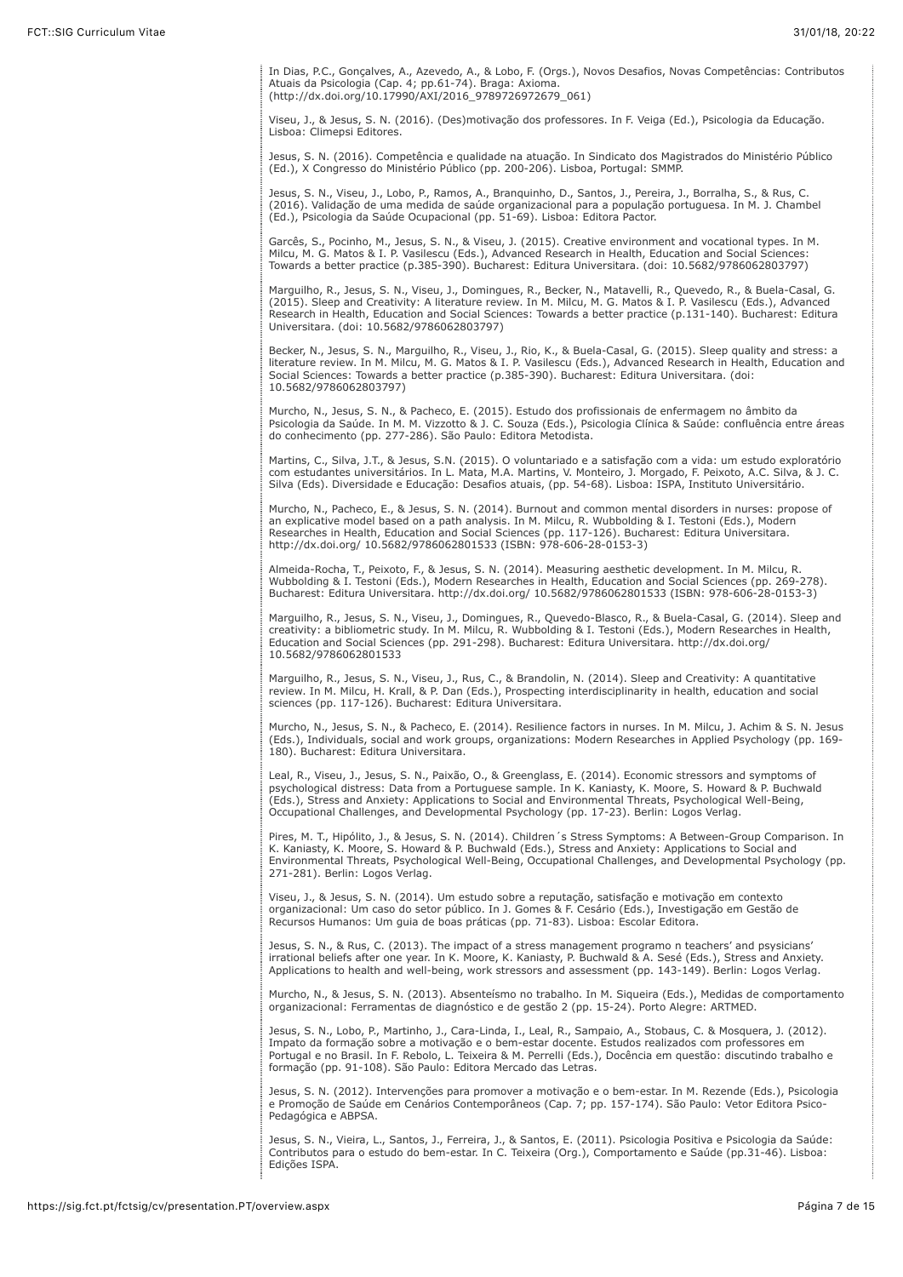In Dias, P.C., Gonçalves, A., Azevedo, A., & Lobo, F. (Orgs.), Novos Desafios, Novas Competências: Contributos Atuais da Psicologia (Cap. 4; pp.61-74). Braga: Axioma. (http://dx.doi.org/10.17990/AXI/2016\_9789726972679\_061)

Viseu, J., & Jesus, S. N. (2016). (Des)motivação dos professores. In F. Veiga (Ed.), Psicologia da Educação. Lisboa: Climepsi Editores.

Jesus, S. N. (2016). Competência e qualidade na atuação. In Sindicato dos Magistrados do Ministério Público (Ed.), X Congresso do Ministério Público (pp. 200-206). Lisboa, Portugal: SMMP.

Jesus, S. N., Viseu, J., Lobo, P., Ramos, A., Branquinho, D., Santos, J., Pereira, J., Borralha, S., & Rus, C. (2016). Validação de uma medida de saúde organizacional para a população portuguesa. In M. J. Chambel (Ed.), Psicologia da Saúde Ocupacional (pp. 51-69). Lisboa: Editora Pactor.

Garcês, S., Pocinho, M., Jesus, S. N., & Viseu, J. (2015). Creative environment and vocational types. In M. Milcu, M. G. Matos & I. P. Vasilescu (Eds.), Advanced Research in Health, Education and Social Sciences: Towards a better practice (p.385-390). Bucharest: Editura Universitara. (doi: 10.5682/9786062803797)

Marguilho, R., Jesus, S. N., Viseu, J., Domingues, R., Becker, N., Matavelli, R., Quevedo, R., & Buela-Casal, G. (2015). Sleep and Creativity: A literature review. In M. Milcu, M. G. Matos & I. P. Vasilescu (Eds.), Advanced Research in Health, Education and Social Sciences: Towards a better practice (p.131-140). Bucharest: Editura Universitara. (doi: 10.5682/9786062803797)

Becker, N., Jesus, S. N., Marguilho, R., Viseu, J., Rio, K., & Buela-Casal, G. (2015). Sleep quality and stress: a literature review. In M. Milcu, M. G. Matos & I. P. Vasilescu (Eds.), Advanced Research in Health, Education and Social Sciences: Towards a better practice (p.385-390). Bucharest: Editura Universitara. (doi: 10.5682/9786062803797)

Murcho, N., Jesus, S. N., & Pacheco, E. (2015). Estudo dos profissionais de enfermagem no âmbito da Psicologia da Saúde. In M. M. Vizzotto & J. C. Souza (Eds.), Psicologia Clínica & Saúde: confluência entre áreas do conhecimento (pp. 277-286). São Paulo: Editora Metodista.

Martins, C., Silva, J.T., & Jesus, S.N. (2015). O voluntariado e a satisfação com a vida: um estudo exploratório com estudantes universitários. In L. Mata, M.A. Martins, V. Monteiro, J. Morgado, F. Peixoto, A.C. Silva, & J. C. Silva (Eds). Diversidade e Educação: Desafios atuais, (pp. 54-68). Lisboa: ISPA, Instituto Universitário.

Murcho, N., Pacheco, E., & Jesus, S. N. (2014). Burnout and common mental disorders in nurses: propose of an explicative model based on a path analysis. In M. Milcu, R. Wubbolding & I. Testoni (Eds.), Modern Researches in Health, Education and Social Sciences (pp. 117-126). Bucharest: Editura Universitara. http://dx.doi.org/ 10.5682/9786062801533 (ISBN: 978-606-28-0153-3)

Almeida-Rocha, T., Peixoto, F., & Jesus, S. N. (2014). Measuring aesthetic development. In M. Milcu, R. Wubbolding & I. Testoni (Eds.), Modern Researches in Health, Education and Social Sciences (pp. 269-278). Bucharest: Editura Universitara. http://dx.doi.org/ 10.5682/9786062801533 (ISBN: 978-606-28-0153-3)

Marguilho, R., Jesus, S. N., Viseu, J., Domingues, R., Quevedo-Blasco, R., & Buela-Casal, G. (2014). Sleep and creativity: a bibliometric study. In M. Milcu, R. Wubbolding & I. Testoni (Eds.), Modern Researches in Health, Education and Social Sciences (pp. 291-298). Bucharest: Editura Universitara. http://dx.doi.org/ 10.5682/9786062801533

Marguilho, R., Jesus, S. N., Viseu, J., Rus, C., & Brandolin, N. (2014). Sleep and Creativity: A quantitative review. In M. Milcu, H. Krall, & P. Dan (Eds.), Prospecting interdisciplinarity in health, education and social sciences (pp. 117-126). Bucharest: Editura Universitara.

Murcho, N., Jesus, S. N., & Pacheco, E. (2014). Resilience factors in nurses. In M. Milcu, J. Achim & S. N. Jesus (Eds.), Individuals, social and work groups, organizations: Modern Researches in Applied Psychology (pp. 169- 180). Bucharest: Editura Universitara.

Leal, R., Viseu, J., Jesus, S. N., Paixão, O., & Greenglass, E. (2014). Economic stressors and symptoms of psychological distress: Data from a Portuguese sample. In K. Kaniasty, K. Moore, S. Howard & P. Buchwald (Eds.), Stress and Anxiety: Applications to Social and Environmental Threats, Psychological Well-Being, Occupational Challenges, and Developmental Psychology (pp. 17-23). Berlin: Logos Verlag.

Pires, M. T., Hipólito, J., & Jesus, S. N. (2014). Children´s Stress Symptoms: A Between-Group Comparison. In K. Kaniasty, K. Moore, S. Howard & P. Buchwald (Eds.), Stress and Anxiety: Applications to Social and Environmental Threats, Psychological Well-Being, Occupational Challenges, and Developmental Psychology (pp. 271-281). Berlin: Logos Verlag.

Viseu, J., & Jesus, S. N. (2014). Um estudo sobre a reputação, satisfação e motivação em contexto organizacional: Um caso do setor público. In J. Gomes & F. Cesário (Eds.), Investigação em Gestão de Recursos Humanos: Um guia de boas práticas (pp. 71-83). Lisboa: Escolar Editora.

Jesus, S. N., & Rus, C. (2013). The impact of a stress management programo n teachers' and psysicians' irrational beliefs after one year. In K. Moore, K. Kaniasty, P. Buchwald & A. Sesé (Eds.), Stress and Anxiety. Applications to health and well-being, work stressors and assessment (pp. 143-149). Berlin: Logos Verlag.

Murcho, N., & Jesus, S. N. (2013). Absenteísmo no trabalho. In M. Siqueira (Eds.), Medidas de comportamento organizacional: Ferramentas de diagnóstico e de gestão 2 (pp. 15-24). Porto Alegre: ARTMED.

Jesus, S. N., Lobo, P., Martinho, J., Cara-Linda, I., Leal, R., Sampaio, A., Stobaus, C. & Mosquera, J. (2012). Impato da formação sobre a motivação e o bem-estar docente. Estudos realizados com professores em Portugal e no Brasil. In F. Rebolo, L. Teixeira & M. Perrelli (Eds.), Docência em questão: discutindo trabalho e formação (pp. 91-108). São Paulo: Editora Mercado das Letras.

Jesus, S. N. (2012). Intervenções para promover a motivação e o bem-estar. In M. Rezende (Eds.), Psicologia e Promoção de Saúde em Cenários Contemporâneos (Cap. 7; pp. 157-174). São Paulo: Vetor Editora Psico-Pedagógica e ABPSA.

Jesus, S. N., Vieira, L., Santos, J., Ferreira, J., & Santos, E. (2011). Psicologia Positiva e Psicologia da Saúde: Contributos para o estudo do bem-estar. In C. Teixeira (Org.), Comportamento e Saúde (pp.31-46). Lisboa: Edições ISPA.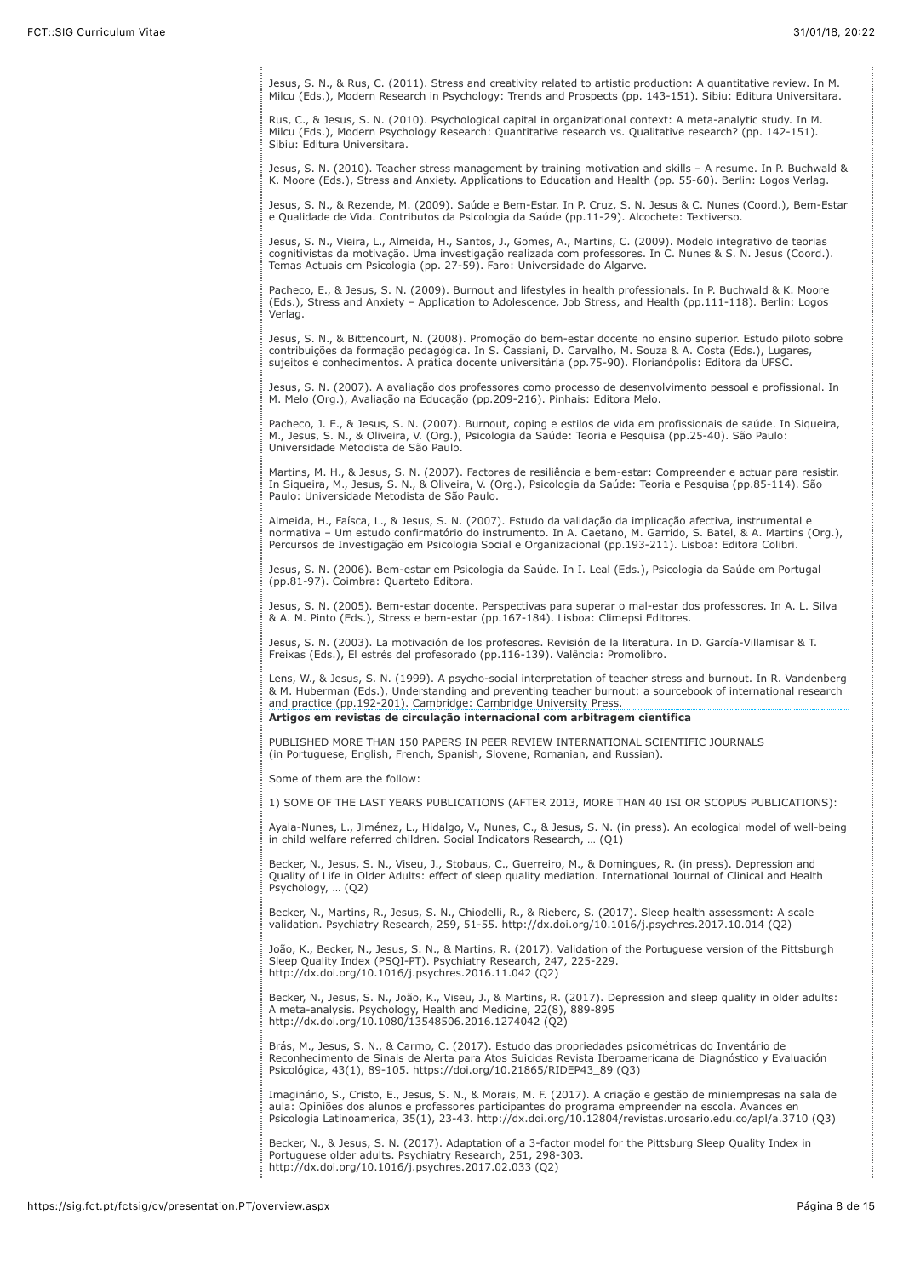Jesus, S. N., & Rus, C. (2011). Stress and creativity related to artistic production: A quantitative review. In M. Milcu (Eds.), Modern Research in Psychology: Trends and Prospects (pp. 143-151). Sibiu: Editura Universitara.

Rus, C., & Jesus, S. N. (2010). Psychological capital in organizational context: A meta-analytic study. In M. Milcu (Eds.), Modern Psychology Research: Quantitative research vs. Qualitative research? (pp. 142-151). Sibiu: Editura Universitara.

Jesus, S. N. (2010). Teacher stress management by training motivation and skills – A resume. In P. Buchwald & K. Moore (Eds.), Stress and Anxiety. Applications to Education and Health (pp. 55-60). Berlin: Logos Verlag.

Jesus, S. N., & Rezende, M. (2009). Saúde e Bem-Estar. In P. Cruz, S. N. Jesus & C. Nunes (Coord.), Bem-Estar e Qualidade de Vida. Contributos da Psicologia da Saúde (pp.11-29). Alcochete: Textiverso.

Jesus, S. N., Vieira, L., Almeida, H., Santos, J., Gomes, A., Martins, C. (2009). Modelo integrativo de teorias cognitivistas da motivação. Uma investigação realizada com professores. In C. Nunes & S. N. Jesus (Coord.). Temas Actuais em Psicologia (pp. 27-59). Faro: Universidade do Algarve.

Pacheco, E., & Jesus, S. N. (2009). Burnout and lifestyles in health professionals. In P. Buchwald & K. Moore (Eds.), Stress and Anxiety – Application to Adolescence, Job Stress, and Health (pp.111-118). Berlin: Logos Verlag.

Jesus, S. N., & Bittencourt, N. (2008). Promoção do bem-estar docente no ensino superior. Estudo piloto sobre contribuições da formação pedagógica. In S. Cassiani, D. Carvalho, M. Souza & A. Costa (Eds.), Lugares, sujeitos e conhecimentos. A prática docente universitária (pp.75-90). Florianópolis: Editora da UFSC.

Jesus, S. N. (2007). A avaliação dos professores como processo de desenvolvimento pessoal e profissional. In M. Melo (Org.), Avaliação na Educação (pp.209-216). Pinhais: Editora Melo.

Pacheco, J. E., & Jesus, S. N. (2007). Burnout, coping e estilos de vida em profissionais de saúde. In Siqueira, M., Jesus, S. N., & Oliveira, V. (Org.), Psicologia da Saúde: Teoria e Pesquisa (pp.25-40). São Paulo: Universidade Metodista de São Paulo.

Martins, M. H., & Jesus, S. N. (2007). Factores de resiliência e bem-estar: Compreender e actuar para resistir. In Siqueira, M., Jesus, S. N., & Oliveira, V. (Org.), Psicologia da Saúde: Teoria e Pesquisa (pp.85-114). São Paulo: Universidade Metodista de São Paulo.

Almeida, H., Faísca, L., & Jesus, S. N. (2007). Estudo da validação da implicação afectiva, instrumental e normativa – Um estudo confirmatório do instrumento. In A. Caetano, M. Garrido, S. Batel, & A. Martins (Org.), Percursos de Investigação em Psicologia Social e Organizacional (pp.193-211). Lisboa: Editora Colibri.

Jesus, S. N. (2006). Bem-estar em Psicologia da Saúde. In I. Leal (Eds.), Psicologia da Saúde em Portugal (pp.81-97). Coimbra: Quarteto Editora.

Jesus, S. N. (2005). Bem-estar docente. Perspectivas para superar o mal-estar dos professores. In A. L. Silva & A. M. Pinto (Eds.), Stress e bem-estar (pp.167-184). Lisboa: Climepsi Editores.

Jesus, S. N. (2003). La motivación de los profesores. Revisión de la literatura. In D. García-Villamisar & T. Freixas (Eds.), El estrés del profesorado (pp.116-139). Valência: Promolibro.

Lens, W., & Jesus, S. N. (1999). A psycho-social interpretation of teacher stress and burnout. In R. Vandenberg & M. Huberman (Eds.), Understanding and preventing teacher burnout: a sourcebook of international research and practice (pp.192-201). Cambridge: Cambridge University Press.

## **Artigos em revistas de circulação internacional com arbitragem científica**

PUBLISHED MORE THAN 150 PAPERS IN PEER REVIEW INTERNATIONAL SCIENTIFIC JOURNALS (in Portuguese, English, French, Spanish, Slovene, Romanian, and Russian).

Some of them are the follow:

1) SOME OF THE LAST YEARS PUBLICATIONS (AFTER 2013, MORE THAN 40 ISI OR SCOPUS PUBLICATIONS):

Ayala-Nunes, L., Jiménez, L., Hidalgo, V., Nunes, C., & Jesus, S. N. (in press). An ecological model of well-being in child welfare referred children. Social Indicators Research, … (Q1)

Becker, N., Jesus, S. N., Viseu, J., Stobaus, C., Guerreiro, M., & Domingues, R. (in press). Depression and Quality of Life in Older Adults: effect of sleep quality mediation. International Journal of Clinical and Health Psychology, … (Q2)

Becker, N., Martins, R., Jesus, S. N., Chiodelli, R., & Rieberc, S. (2017). Sleep health assessment: A scale validation. Psychiatry Research, 259, 51-55. http://dx.doi.org/10.1016/j.psychres.2017.10.014 (Q2)

João, K., Becker, N., Jesus, S. N., & Martins, R. (2017). Validation of the Portuguese version of the Pittsburgh Sleep Quality Index (PSQI-PT). Psychiatry Research, 247, 225-229. http://dx.doi.org/10.1016/j.psychres.2016.11.042 (Q2)

Becker, N., Jesus, S. N., João, K., Viseu, J., & Martins, R. (2017). Depression and sleep quality in older adults: A meta-analysis. Psychology, Health and Medicine, 22(8), 889-895 http://dx.doi.org/10.1080/13548506.2016.1274042 (Q2)

Brás, M., Jesus, S. N., & Carmo, C. (2017). Estudo das propriedades psicométricas do Inventário de Reconhecimento de Sinais de Alerta para Atos Suicidas Revista Iberoamericana de Diagnóstico y Evaluación Psicológica, 43(1), 89-105. https://doi.org/10.21865/RIDEP43\_89 (Q3)

Imaginário, S., Cristo, E., Jesus, S. N., & Morais, M. F. (2017). A criação e gestão de miniempresas na sala de aula: Opiniões dos alunos e professores participantes do programa empreender na escola. Avances en Psicologia Latinoamerica, 35(1), 23-43. http://dx.doi.org/10.12804/revistas.urosario.edu.co/apl/a.3710 (Q3)

Becker, N., & Jesus, S. N. (2017). Adaptation of a 3-factor model for the Pittsburg Sleep Quality Index in Portuguese older adults. Psychiatry Research, 251, 298-303. http://dx.doi.org/10.1016/j.psychres.2017.02.033 (Q2)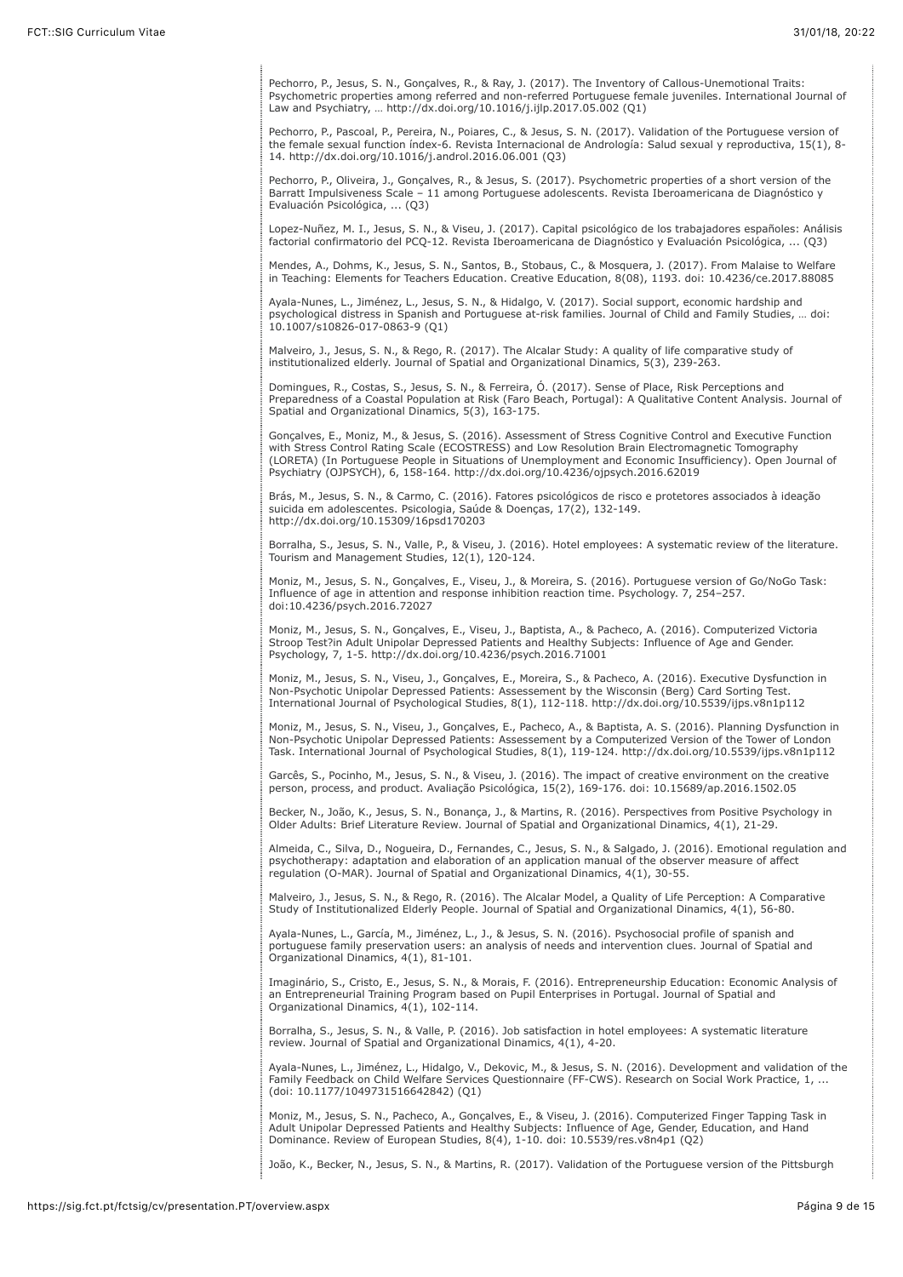Pechorro, P., Jesus, S. N., Gonçalves, R., & Ray, J. (2017). The Inventory of Callous-Unemotional Traits: Psychometric properties among referred and non-referred Portuguese female juveniles. International Journal of Law and Psychiatry, … http://dx.doi.org/10.1016/j.ijlp.2017.05.002 (Q1)

Pechorro, P., Pascoal, P., Pereira, N., Poiares, C., & Jesus, S. N. (2017). Validation of the Portuguese version of the female sexual function índex-6. Revista Internacional de Andrología: Salud sexual y reproductiva, 15(1), 8- 14. http://dx.doi.org/10.1016/j.androl.2016.06.001 (Q3)

Pechorro, P., Oliveira, J., Gonçalves, R., & Jesus, S. (2017). Psychometric properties of a short version of the Barratt Impulsiveness Scale – 11 among Portuguese adolescents. Revista Iberoamericana de Diagnóstico y Evaluación Psicológica, ... (Q3)

Lopez-Nuñez, M. I., Jesus, S. N., & Viseu, J. (2017). Capital psicológico de los trabajadores españoles: Análisis factorial confirmatorio del PCQ-12. Revista Iberoamericana de Diagnóstico y Evaluación Psicológica, ... (Q3)

Mendes, A., Dohms, K., Jesus, S. N., Santos, B., Stobaus, C., & Mosquera, J. (2017). From Malaise to Welfare in Teaching: Elements for Teachers Education. Creative Education, 8(08), 1193. doi: 10.4236/ce.2017.88085

Ayala-Nunes, L., Jiménez, L., Jesus, S. N., & Hidalgo, V. (2017). Social support, economic hardship and psychological distress in Spanish and Portuguese at-risk families. Journal of Child and Family Studies, … doi: 10.1007/s10826-017-0863-9 (Q1)

Malveiro, J., Jesus, S. N., & Rego, R. (2017). The Alcalar Study: A quality of life comparative study of institutionalized elderly. Journal of Spatial and Organizational Dinamics, 5(3), 239-263.

Domingues, R., Costas, S., Jesus, S. N., & Ferreira, Ó. (2017). Sense of Place, Risk Perceptions and Preparedness of a Coastal Population at Risk (Faro Beach, Portugal): A Qualitative Content Analysis. Journal of Spatial and Organizational Dinamics, 5(3), 163-175.

Gonçalves, E., Moniz, M., & Jesus, S. (2016). Assessment of Stress Cognitive Control and Executive Function with Stress Control Rating Scale (ECOSTRESS) and Low Resolution Brain Electromagnetic Tomography (LORETA) (In Portuguese People in Situations of Unemployment and Economic Insufficiency). Open Journal of Psychiatry (OJPSYCH), 6, 158-164. http://dx.doi.org/10.4236/ojpsych.2016.62019

Brás, M., Jesus, S. N., & Carmo, C. (2016). Fatores psicológicos de risco e protetores associados à ideação suicida em adolescentes. Psicologia, Saúde & Doenças, 17(2), 132-149. http://dx.doi.org/10.15309/16psd170203

Borralha, S., Jesus, S. N., Valle, P., & Viseu, J. (2016). Hotel employees: A systematic review of the literature. Tourism and Management Studies, 12(1), 120-124.

Moniz, M., Jesus, S. N., Gonçalves, E., Viseu, J., & Moreira, S. (2016). Portuguese version of Go/NoGo Task: Influence of age in attention and response inhibition reaction time. Psychology. 7, 254–257. doi:10.4236/psych.2016.72027

Moniz, M., Jesus, S. N., Gonçalves, E., Viseu, J., Baptista, A., & Pacheco, A. (2016). Computerized Victoria Stroop Test?in Adult Unipolar Depressed Patients and Healthy Subjects: Influence of Age and Gender. Psychology, 7, 1-5. http://dx.doi.org/10.4236/psych.2016.71001

Moniz, M., Jesus, S. N., Viseu, J., Gonçalves, E., Moreira, S., & Pacheco, A. (2016). Executive Dysfunction in Non-Psychotic Unipolar Depressed Patients: Assessement by the Wisconsin (Berg) Card Sorting Test. International Journal of Psychological Studies, 8(1), 112-118. http://dx.doi.org/10.5539/ijps.v8n1p112

Moniz, M., Jesus, S. N., Viseu, J., Gonçalves, E., Pacheco, A., & Baptista, A. S. (2016). Planning Dysfunction in Non-Psychotic Unipolar Depressed Patients: Assessement by a Computerized Version of the Tower of London Task. International Journal of Psychological Studies, 8(1), 119-124. http://dx.doi.org/10.5539/ijps.v8n1p112

Garcês, S., Pocinho, M., Jesus, S. N., & Viseu, J. (2016). The impact of creative environment on the creative person, process, and product. Avaliação Psicológica, 15(2), 169-176. doi: 10.15689/ap.2016.1502.05

Becker, N., João, K., Jesus, S. N., Bonança, J., & Martins, R. (2016). Perspectives from Positive Psychology in Older Adults: Brief Literature Review. Journal of Spatial and Organizational Dinamics, 4(1), 21-29.

Almeida, C., Silva, D., Nogueira, D., Fernandes, C., Jesus, S. N., & Salgado, J. (2016). Emotional regulation and psychotherapy: adaptation and elaboration of an application manual of the observer measure of affect regulation (O-MAR). Journal of Spatial and Organizational Dinamics, 4(1), 30-55.

Malveiro, J., Jesus, S. N., & Rego, R. (2016). The Alcalar Model, a Quality of Life Perception: A Comparative Study of Institutionalized Elderly People. Journal of Spatial and Organizational Dinamics, 4(1), 56-80.

Ayala-Nunes, L., García, M., Jiménez, L., J., & Jesus, S. N. (2016). Psychosocial profile of spanish and portuguese family preservation users: an analysis of needs and intervention clues. Journal of Spatial and Organizational Dinamics, 4(1), 81-101.

Imaginário, S., Cristo, E., Jesus, S. N., & Morais, F. (2016). Entrepreneurship Education: Economic Analysis of an Entrepreneurial Training Program based on Pupil Enterprises in Portugal. Journal of Spatial and Organizational Dinamics, 4(1), 102-114.

Borralha, S., Jesus, S. N., & Valle, P. (2016). Job satisfaction in hotel employees: A systematic literature review. Journal of Spatial and Organizational Dinamics, 4(1), 4-20.

Ayala-Nunes, L., Jiménez, L., Hidalgo, V., Dekovic, M., & Jesus, S. N. (2016). Development and validation of the Family Feedback on Child Welfare Services Questionnaire (FF-CWS). Research on Social Work Practice, 1, ... (doi: 10.1177/1049731516642842) (Q1)

Moniz, M., Jesus, S. N., Pacheco, A., Gonçalves, E., & Viseu, J. (2016). Computerized Finger Tapping Task in Adult Unipolar Depressed Patients and Healthy Subjects: Influence of Age, Gender, Education, and Hand Dominance. Review of European Studies, 8(4), 1-10. doi: 10.5539/res.v8n4p1 (Q2)

João, K., Becker, N., Jesus, S. N., & Martins, R. (2017). Validation of the Portuguese version of the Pittsburgh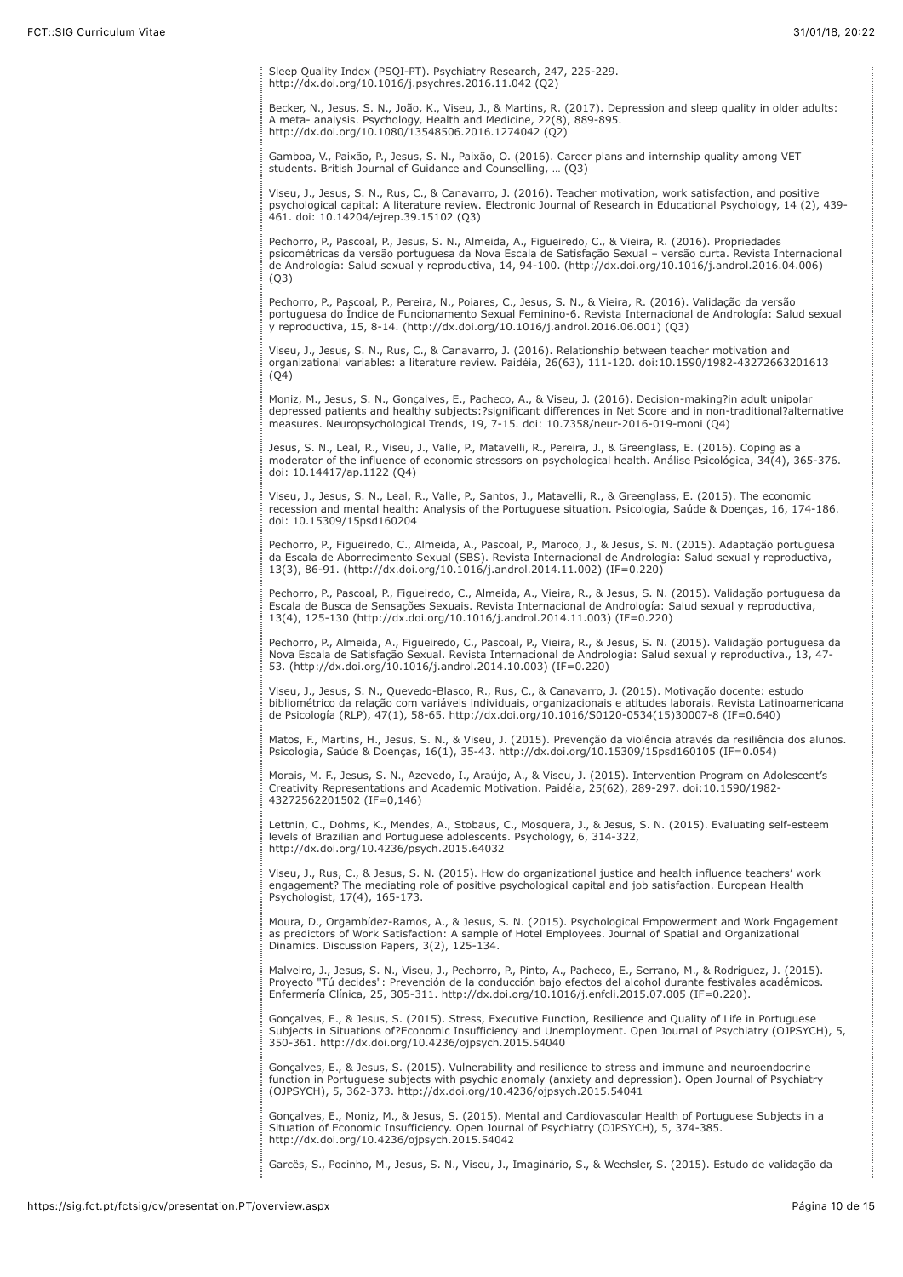Sleep Quality Index (PSQI-PT). Psychiatry Research, 247, 225-229. http://dx.doi.org/10.1016/j.psychres.2016.11.042 (Q2)

Becker, N., Jesus, S. N., João, K., Viseu, J., & Martins, R. (2017). Depression and sleep quality in older adults: A meta- analysis. Psychology, Health and Medicine, 22(8), 889-895. http://dx.doi.org/10.1080/13548506.2016.1274042 (Q2)

Gamboa, V., Paixão, P., Jesus, S. N., Paixão, O. (2016). Career plans and internship quality among VET students. British Journal of Guidance and Counselling, … (Q3)

Viseu, J., Jesus, S. N., Rus, C., & Canavarro, J. (2016). Teacher motivation, work satisfaction, and positive psychological capital: A literature review. Electronic Journal of Research in Educational Psychology, 14 (2), 439- 461. doi: 10.14204/ejrep.39.15102 (Q3)

Pechorro, P., Pascoal, P., Jesus, S. N., Almeida, A., Figueiredo, C., & Vieira, R. (2016). Propriedades psicométricas da versão portuguesa da Nova Escala de Satisfação Sexual – versão curta. Revista Internacional de Andrología: Salud sexual y reproductiva, 14, 94-100. (http://dx.doi.org/10.1016/j.androl.2016.04.006)  $(03)$ 

Pechorro, P., Pascoal, P., Pereira, N., Poiares, C., Jesus, S. N., & Vieira, R. (2016). Validação da versão portuguesa do Índice de Funcionamento Sexual Feminino-6. Revista Internacional de Andrología: Salud sexual y reproductiva, 15, 8-14. (http://dx.doi.org/10.1016/j.androl.2016.06.001) (Q3)

Viseu, J., Jesus, S. N., Rus, C., & Canavarro, J. (2016). Relationship between teacher motivation and organizational variables: a literature review. Paidéia, 26(63), 111-120. doi:10.1590/1982-43272663201613  $(04)$ 

Moniz, M., Jesus, S. N., Gonçalves, E., Pacheco, A., & Viseu, J. (2016). Decision-making?in adult unipolar depressed patients and healthy subjects:?significant differences in Net Score and in non-traditional?alternative measures. Neuropsychological Trends, 19, 7-15. doi: 10.7358/neur-2016-019-moni (Q4)

Jesus, S. N., Leal, R., Viseu, J., Valle, P., Matavelli, R., Pereira, J., & Greenglass, E. (2016). Coping as a moderator of the influence of economic stressors on psychological health. Análise Psicológica, 34(4), 365-376. doi: 10.14417/ap.1122 (Q4)

Viseu, J., Jesus, S. N., Leal, R., Valle, P., Santos, J., Matavelli, R., & Greenglass, E. (2015). The economic recession and mental health: Analysis of the Portuguese situation. Psicologia, Saúde & Doenças, 16, 174-186. doi: 10.15309/15psd160204

Pechorro, P., Figueiredo, C., Almeida, A., Pascoal, P., Maroco, J., & Jesus, S. N. (2015). Adaptação portuguesa da Escala de Aborrecimento Sexual (SBS). Revista Internacional de Andrología: Salud sexual y reproductiva, 13(3), 86-91. (http://dx.doi.org/10.1016/j.androl.2014.11.002) (IF=0.220)

Pechorro, P., Pascoal, P., Figueiredo, C., Almeida, A., Vieira, R., & Jesus, S. N. (2015). Validação portuguesa da Escala de Busca de Sensações Sexuais. Revista Internacional de Andrología: Salud sexual y reproductiva, 13(4), 125-130 (http://dx.doi.org/10.1016/j.androl.2014.11.003) (IF=0.220)

Pechorro, P., Almeida, A., Figueiredo, C., Pascoal, P., Vieira, R., & Jesus, S. N. (2015). Validação portuguesa da Nova Escala de Satisfação Sexual. Revista Internacional de Andrología: Salud sexual y reproductiva., 13, 47- 53. (http://dx.doi.org/10.1016/j.androl.2014.10.003) (IF=0.220)

Viseu, J., Jesus, S. N., Quevedo-Blasco, R., Rus, C., & Canavarro, J. (2015). Motivação docente: estudo bibliométrico da relação com variáveis individuais, organizacionais e atitudes laborais. Revista Latinoamericana de Psicología (RLP), 47(1), 58-65. http://dx.doi.org/10.1016/S0120-0534(15)30007-8 (IF=0.640)

Matos, F., Martins, H., Jesus, S. N., & Viseu, J. (2015). Prevenção da violência através da resiliência dos alunos. Psicologia, Saúde & Doenças, 16(1), 35-43. http://dx.doi.org/10.15309/15psd160105 (IF=0.054)

Morais, M. F., Jesus, S. N., Azevedo, I., Araújo, A., & Viseu, J. (2015). Intervention Program on Adolescent's Creativity Representations and Academic Motivation. Paidéia, 25(62), 289-297. doi:10.1590/1982- 43272562201502 (IF=0,146)

Lettnin, C., Dohms, K., Mendes, A., Stobaus, C., Mosquera, J., & Jesus, S. N. (2015). Evaluating self-esteem levels of Brazilian and Portuguese adolescents. Psychology, 6, 314-322, http://dx.doi.org/10.4236/psych.2015.64032

Viseu, J., Rus, C., & Jesus, S. N. (2015). How do organizational justice and health influence teachers' work engagement? The mediating role of positive psychological capital and job satisfaction. European Health Psychologist, 17(4), 165-173.

Moura, D., Orgambídez-Ramos, A., & Jesus, S. N. (2015). Psychological Empowerment and Work Engagement as predictors of Work Satisfaction: A sample of Hotel Employees. Journal of Spatial and Organizational Dinamics. Discussion Papers, 3(2), 125-134.

Malveiro, J., Jesus, S. N., Viseu, J., Pechorro, P., Pinto, A., Pacheco, E., Serrano, M., & Rodríguez, J. (2015). Proyecto "Tú decides": Prevención de la conducción bajo efectos del alcohol durante festivales académicos. Enfermería Clínica, 25, 305-311. http://dx.doi.org/10.1016/j.enfcli.2015.07.005 (IF=0.220).

Gonçalves, E., & Jesus, S. (2015). Stress, Executive Function, Resilience and Quality of Life in Portuguese Subjects in Situations of?Economic Insufficiency and Unemployment. Open Journal of Psychiatry (OJPSYCH), 5, 350-361. http://dx.doi.org/10.4236/ojpsych.2015.54040

Gonçalves, E., & Jesus, S. (2015). Vulnerability and resilience to stress and immune and neuroendocrine function in Portuguese subjects with psychic anomaly (anxiety and depression). Open Journal of Psychiatry (OJPSYCH), 5, 362-373. http://dx.doi.org/10.4236/ojpsych.2015.54041

Gonçalves, E., Moniz, M., & Jesus, S. (2015). Mental and Cardiovascular Health of Portuguese Subjects in a Situation of Economic Insufficiency. Open Journal of Psychiatry (OJPSYCH), 5, 374-385. http://dx.doi.org/10.4236/ojpsych.2015.54042

Garcês, S., Pocinho, M., Jesus, S. N., Viseu, J., Imaginário, S., & Wechsler, S. (2015). Estudo de validação da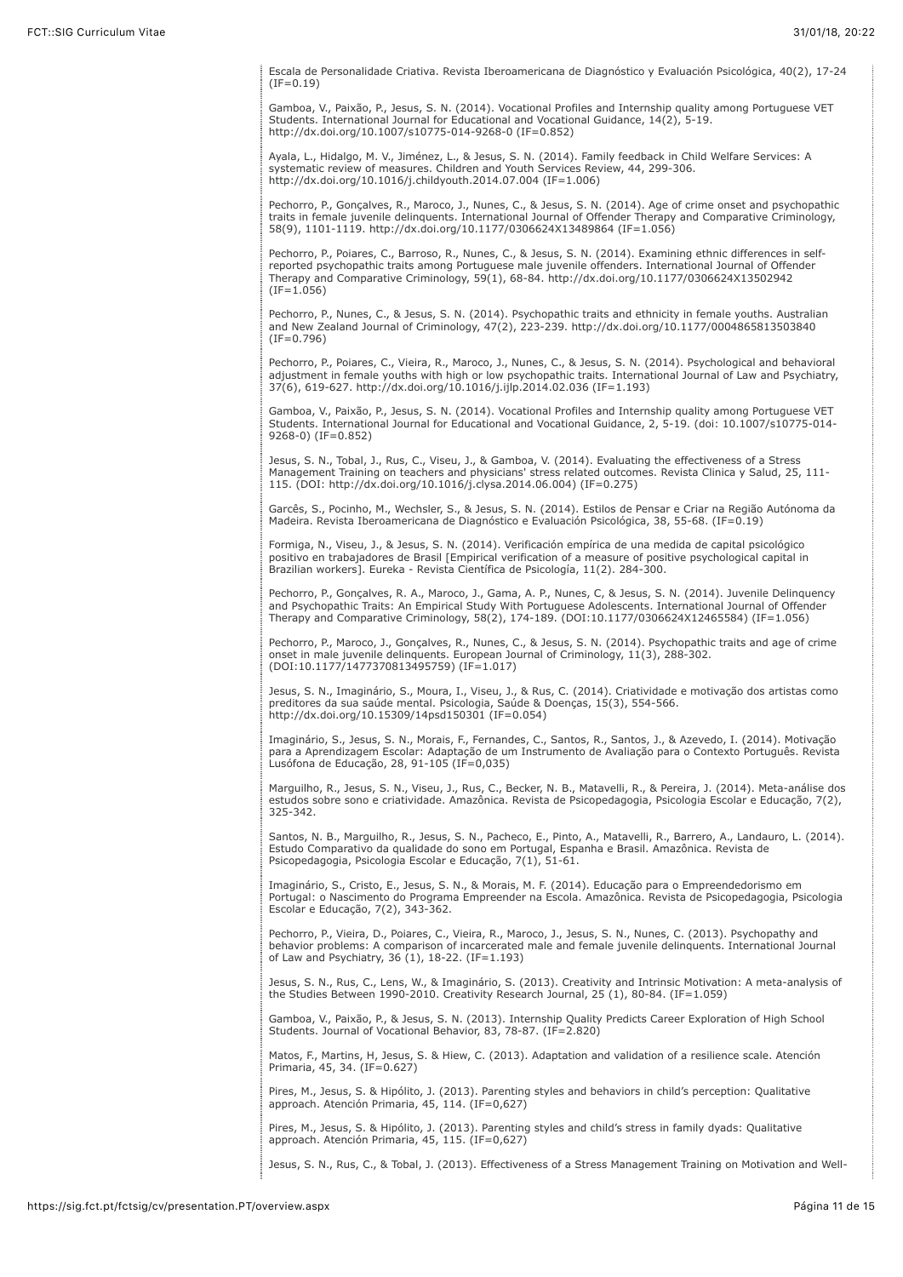Escala de Personalidade Criativa. Revista Iberoamericana de Diagnóstico y Evaluación Psicológica, 40(2), 17-24  $(IF=0.19)$ 

Gamboa, V., Paixão, P., Jesus, S. N. (2014). Vocational Profiles and Internship quality among Portuguese VET Students. International Journal for Educational and Vocational Guidance, 14(2), 5-19. http://dx.doi.org/10.1007/s10775-014-9268-0 (IF=0.852)

Ayala, L., Hidalgo, M. V., Jiménez, L., & Jesus, S. N. (2014). Family feedback in Child Welfare Services: A systematic review of measures. Children and Youth Services Review, 44, 299-306. http://dx.doi.org/10.1016/j.childyouth.2014.07.004 (IF=1.006)

Pechorro, P., Gonçalves, R., Maroco, J., Nunes, C., & Jesus, S. N. (2014). Age of crime onset and psychopathic traits in female juvenile delinquents. International Journal of Offender Therapy and Comparative Criminology, 58(9), 1101-1119. http://dx.doi.org/10.1177/0306624X13489864 (IF=1.056)

Pechorro, P., Poiares, C., Barroso, R., Nunes, C., & Jesus, S. N. (2014). Examining ethnic differences in selfreported psychopathic traits among Portuguese male juvenile offenders. International Journal of Offender Therapy and Comparative Criminology, 59(1), 68-84. http://dx.doi.org/10.1177/0306624X13502942  $(IF=1.056)$ 

Pechorro, P., Nunes, C., & Jesus, S. N. (2014). Psychopathic traits and ethnicity in female youths. Australian and New Zealand Journal of Criminology, 47(2), 223-239. http://dx.doi.org/10.1177/0004865813503840  $(IF=0.796)$ 

Pechorro, P., Poiares, C., Vieira, R., Maroco, J., Nunes, C., & Jesus, S. N. (2014). Psychological and behavioral adjustment in female youths with high or low psychopathic traits. International Journal of Law and Psychiatry, 37(6), 619-627. http://dx.doi.org/10.1016/j.ijlp.2014.02.036 (IF=1.193)

Gamboa, V., Paixão, P., Jesus, S. N. (2014). Vocational Profiles and Internship quality among Portuguese VET Students. International Journal for Educational and Vocational Guidance, 2, 5-19. (doi: 10.1007/s10775-014- 9268-0) (IF=0.852)

Jesus, S. N., Tobal, J., Rus, C., Viseu, J., & Gamboa, V. (2014). Evaluating the effectiveness of a Stress Management Training on teachers and physicians' stress related outcomes. Revista Clinica y Salud, 25, 111- 115. (DOI: http://dx.doi.org/10.1016/j.clysa.2014.06.004) (IF=0.275)

Garcês, S., Pocinho, M., Wechsler, S., & Jesus, S. N. (2014). Estilos de Pensar e Criar na Região Autónoma da Madeira. Revista Iberoamericana de Diagnóstico e Evaluación Psicológica, 38, 55-68. (IF=0.19)

Formiga, N., Viseu, J., & Jesus, S. N. (2014). Verificación empírica de una medida de capital psicológico positivo en trabajadores de Brasil [Empirical verification of a measure of positive psychological capital in Brazilian workers]. Eureka - Revista Científica de Psicología, 11(2). 284-300.

Pechorro, P., Gonçalves, R. A., Maroco, J., Gama, A. P., Nunes, C, & Jesus, S. N. (2014). Juvenile Delinquency and Psychopathic Traits: An Empirical Study With Portuguese Adolescents. International Journal of Offender Therapy and Comparative Criminology, 58(2), 174-189. (DOI:10.1177/0306624X12465584) (IF=1.056)

Pechorro, P., Maroco, J., Gonçalves, R., Nunes, C., & Jesus, S. N. (2014). Psychopathic traits and age of crime onset in male juvenile delinquents. European Journal of Criminology, 11(3), 288-302. (DOI:10.1177/1477370813495759) (IF=1.017)

Jesus, S. N., Imaginário, S., Moura, I., Viseu, J., & Rus, C. (2014). Criatividade e motivação dos artistas como preditores da sua saúde mental. Psicologia, Saúde & Doenças, 15(3), 554-566. http://dx.doi.org/10.15309/14psd150301 (IF=0.054)

Imaginário, S., Jesus, S. N., Morais, F., Fernandes, C., Santos, R., Santos, J., & Azevedo, I. (2014). Motivação para a Aprendizagem Escolar: Adaptação de um Instrumento de Avaliação para o Contexto Português. Revista Lusófona de Educação, 28, 91-105 (IF=0,035)

Marguilho, R., Jesus, S. N., Viseu, J., Rus, C., Becker, N. B., Matavelli, R., & Pereira, J. (2014). Meta-análise dos estudos sobre sono e criatividade. Amazônica. Revista de Psicopedagogia, Psicologia Escolar e Educação, 7(2), 325-342.

Santos, N. B., Marguilho, R., Jesus, S. N., Pacheco, E., Pinto, A., Matavelli, R., Barrero, A., Landauro, L. (2014). Estudo Comparativo da qualidade do sono em Portugal, Espanha e Brasil. Amazônica. Revista de Psicopedagogia, Psicologia Escolar e Educação, 7(1), 51-61.

Imaginário, S., Cristo, E., Jesus, S. N., & Morais, M. F. (2014). Educação para o Empreendedorismo em Portugal: o Nascimento do Programa Empreender na Escola. Amazônica. Revista de Psicopedagogia, Psicologia Escolar e Educação, 7(2), 343-362.

Pechorro, P., Vieira, D., Poiares, C., Vieira, R., Maroco, J., Jesus, S. N., Nunes, C. (2013). Psychopathy and behavior problems: A comparison of incarcerated male and female juvenile delinquents. International Journal of Law and Psychiatry, 36 (1), 18-22. (IF=1.193)

Jesus, S. N., Rus, C., Lens, W., & Imaginário, S. (2013). Creativity and Intrinsic Motivation: A meta-analysis of the Studies Between 1990-2010. Creativity Research Journal, 25 (1), 80-84. (IF=1.059)

Gamboa, V., Paixão, P., & Jesus, S. N. (2013). Internship Quality Predicts Career Exploration of High School Students. Journal of Vocational Behavior, 83, 78-87. (IF=2.820)

Matos, F., Martins, H, Jesus, S. & Hiew, C. (2013). Adaptation and validation of a resilience scale. Atención Primaria, 45, 34. (IF=0.627)

Pires, M., Jesus, S. & Hipólito, J. (2013). Parenting styles and behaviors in child's perception: Qualitative approach. Atención Primaria, 45, 114. (IF=0,627)

Pires, M., Jesus, S. & Hipólito, J. (2013). Parenting styles and child's stress in family dyads: Qualitative approach. Atención Primaria, 45, 115. (IF=0,627)

Jesus, S. N., Rus, C., & Tobal, J. (2013). Effectiveness of a Stress Management Training on Motivation and Well-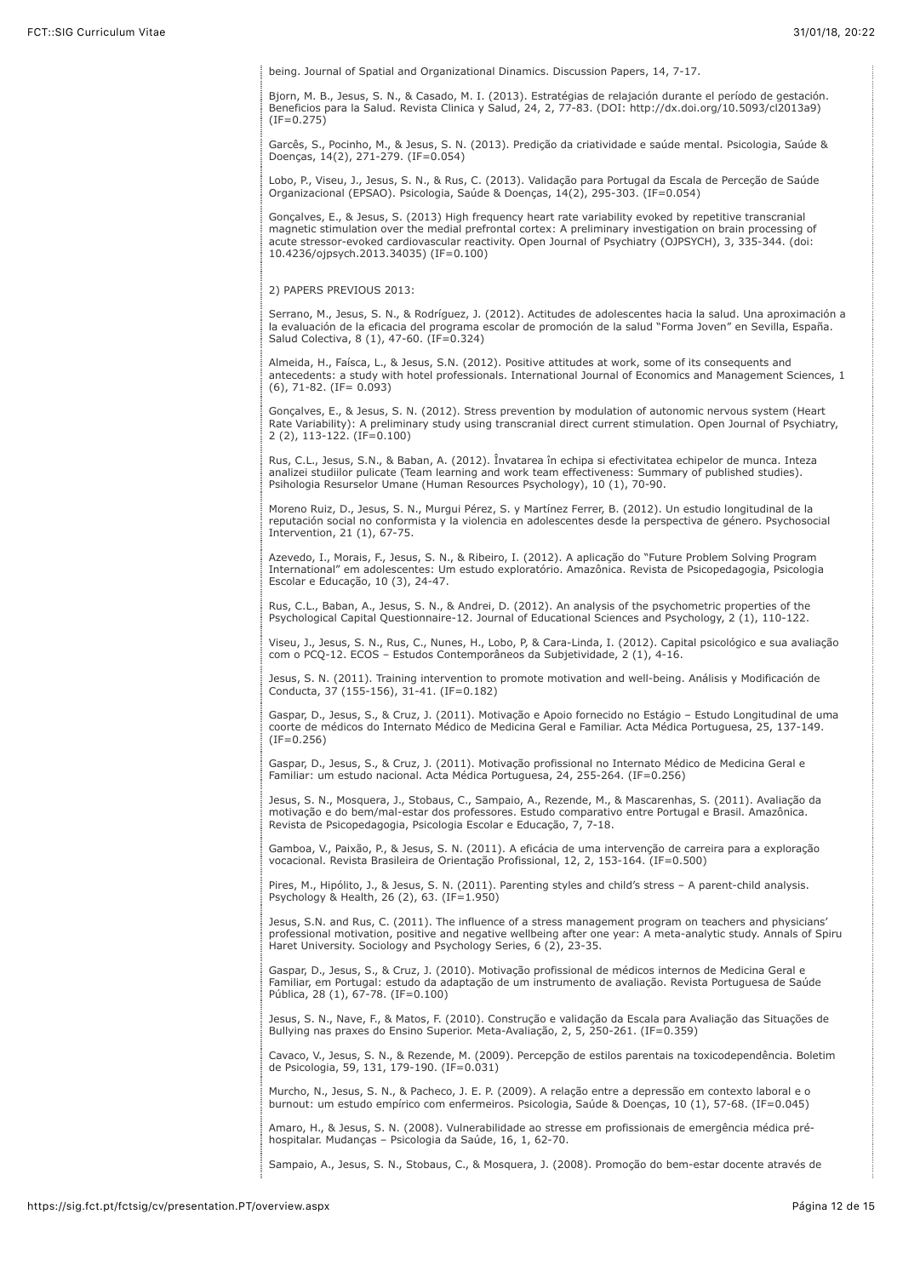being. Journal of Spatial and Organizational Dinamics. Discussion Papers, 14, 7-17.

Bjorn, M. B., Jesus, S. N., & Casado, M. I. (2013). Estratégias de relajación durante el período de gestación. Beneficios para la Salud. Revista Clinica y Salud, 24, 2, 77-83. (DOI: http://dx.doi.org/10.5093/cl2013a9)  $(IF=0.275)$ 

Garcês, S., Pocinho, M., & Jesus, S. N. (2013). Predição da criatividade e saúde mental. Psicologia, Saúde & Doenças, 14(2), 271-279. (IF=0.054)

Lobo, P., Viseu, J., Jesus, S. N., & Rus, C. (2013). Validação para Portugal da Escala de Perceção de Saúde Organizacional (EPSAO). Psicologia, Saúde & Doenças, 14(2), 295-303. (IF=0.054)

Gonçalves, E., & Jesus, S. (2013) High frequency heart rate variability evoked by repetitive transcranial magnetic stimulation over the medial prefrontal cortex: A preliminary investigation on brain processing of acute stressor-evoked cardiovascular reactivity. Open Journal of Psychiatry (OJPSYCH), 3, 335-344. (doi: 10.4236/ojpsych.2013.34035) (IF=0.100)

2) PAPERS PREVIOUS 2013:

Serrano, M., Jesus, S. N., & Rodríguez, J. (2012). Actitudes de adolescentes hacia la salud. Una aproximación a la evaluación de la eficacia del programa escolar de promoción de la salud "Forma Joven" en Sevilla, España. Salud Colectiva, 8 (1), 47-60. (IF=0.324)

Almeida, H., Faísca, L., & Jesus, S.N. (2012). Positive attitudes at work, some of its consequents and antecedents: a study with hotel professionals. International Journal of Economics and Management Sciences, 1  $(6)$ , 71-82. (IF= 0.093)

Gonçalves, E., & Jesus, S. N. (2012). Stress prevention by modulation of autonomic nervous system (Heart Rate Variability): A preliminary study using transcranial direct current stimulation. Open Journal of Psychiatry, 2 (2), 113-122. (IF=0.100)

Rus, C.L., Jesus, S.N., & Baban, A. (2012). Învatarea în echipa si efectivitatea echipelor de munca. Inteza analizei studiilor pulicate (Team learning and work team effectiveness: Summary of published studies). Psihologia Resurselor Umane (Human Resources Psychology), 10 (1), 70-90.

Moreno Ruiz, D., Jesus, S. N., Murgui Pérez, S. y Martínez Ferrer, B. (2012). Un estudio longitudinal de la reputación social no conformista y la violencia en adolescentes desde la perspectiva de género. Psychosocial Intervention, 21 (1), 67-75.

Azevedo, I., Morais, F., Jesus, S. N., & Ribeiro, I. (2012). A aplicação do "Future Problem Solving Program International" em adolescentes: Um estudo exploratório. Amazônica. Revista de Psicopedagogia, Psicologia Escolar e Educação, 10 (3), 24-47.

Rus, C.L., Baban, A., Jesus, S. N., & Andrei, D. (2012). An analysis of the psychometric properties of the Psychological Capital Questionnaire-12. Journal of Educational Sciences and Psychology, 2 (1), 110-122.

Viseu, J., Jesus, S. N., Rus, C., Nunes, H., Lobo, P, & Cara-Linda, I. (2012). Capital psicológico e sua avaliação com o PCQ-12. ECOS – Estudos Contemporâneos da Subjetividade, 2 (1), 4-16.

Jesus, S. N. (2011). Training intervention to promote motivation and well-being. Análisis y Modificación de Conducta, 37 (155-156), 31-41. (IF=0.182)

Gaspar, D., Jesus, S., & Cruz, J. (2011). Motivação e Apoio fornecido no Estágio – Estudo Longitudinal de uma coorte de médicos do Internato Médico de Medicina Geral e Familiar. Acta Médica Portuguesa, 25, 137-149. (IF=0.256)

Gaspar, D., Jesus, S., & Cruz, J. (2011). Motivação profissional no Internato Médico de Medicina Geral e Familiar: um estudo nacional. Acta Médica Portuguesa, 24, 255-264. (IF=0.256)

Jesus, S. N., Mosquera, J., Stobaus, C., Sampaio, A., Rezende, M., & Mascarenhas, S. (2011). Avaliação da motivação e do bem/mal-estar dos professores. Estudo comparativo entre Portugal e Brasil. Amazônica. Revista de Psicopedagogia, Psicologia Escolar e Educação, 7, 7-18.

Gamboa, V., Paixão, P., & Jesus, S. N. (2011). A eficácia de uma intervenção de carreira para a exploração vocacional. Revista Brasileira de Orientação Profissional, 12, 2, 153-164. (IF=0.500)

Pires, M., Hipólito, J., & Jesus, S. N. (2011). Parenting styles and child's stress – A parent-child analysis. Psychology & Health, 26 (2), 63. (IF= $1.950$ )

Jesus, S.N. and Rus, C. (2011). The influence of a stress management program on teachers and physicians' professional motivation, positive and negative wellbeing after one year: A meta-analytic study. Annals of Spiru Haret University. Sociology and Psychology Series, 6 (2), 23-35.

Gaspar, D., Jesus, S., & Cruz, J. (2010). Motivação profissional de médicos internos de Medicina Geral e Familiar, em Portugal: estudo da adaptação de um instrumento de avaliação. Revista Portuguesa de Saúde Pública, 28 (1), 67-78. (IF=0.100)

Jesus, S. N., Nave, F., & Matos, F. (2010). Construção e validação da Escala para Avaliação das Situações de Bullying nas praxes do Ensino Superior. Meta-Avaliação, 2, 5, 250-261. (IF=0.359)

Cavaco, V., Jesus, S. N., & Rezende, M. (2009). Percepção de estilos parentais na toxicodependência. Boletim de Psicologia, 59, 131, 179-190. (IF=0.031)

Murcho, N., Jesus, S. N., & Pacheco, J. E. P. (2009). A relação entre a depressão em contexto laboral e o burnout: um estudo empírico com enfermeiros. Psicologia, Saúde & Doenças, 10 (1), 57-68. (IF=0.045)

Amaro, H., & Jesus, S. N. (2008). Vulnerabilidade ao stresse em profissionais de emergência médica préhospitalar. Mudanças – Psicologia da Saúde, 16, 1, 62-70.

Sampaio, A., Jesus, S. N., Stobaus, C., & Mosquera, J. (2008). Promoção do bem-estar docente através de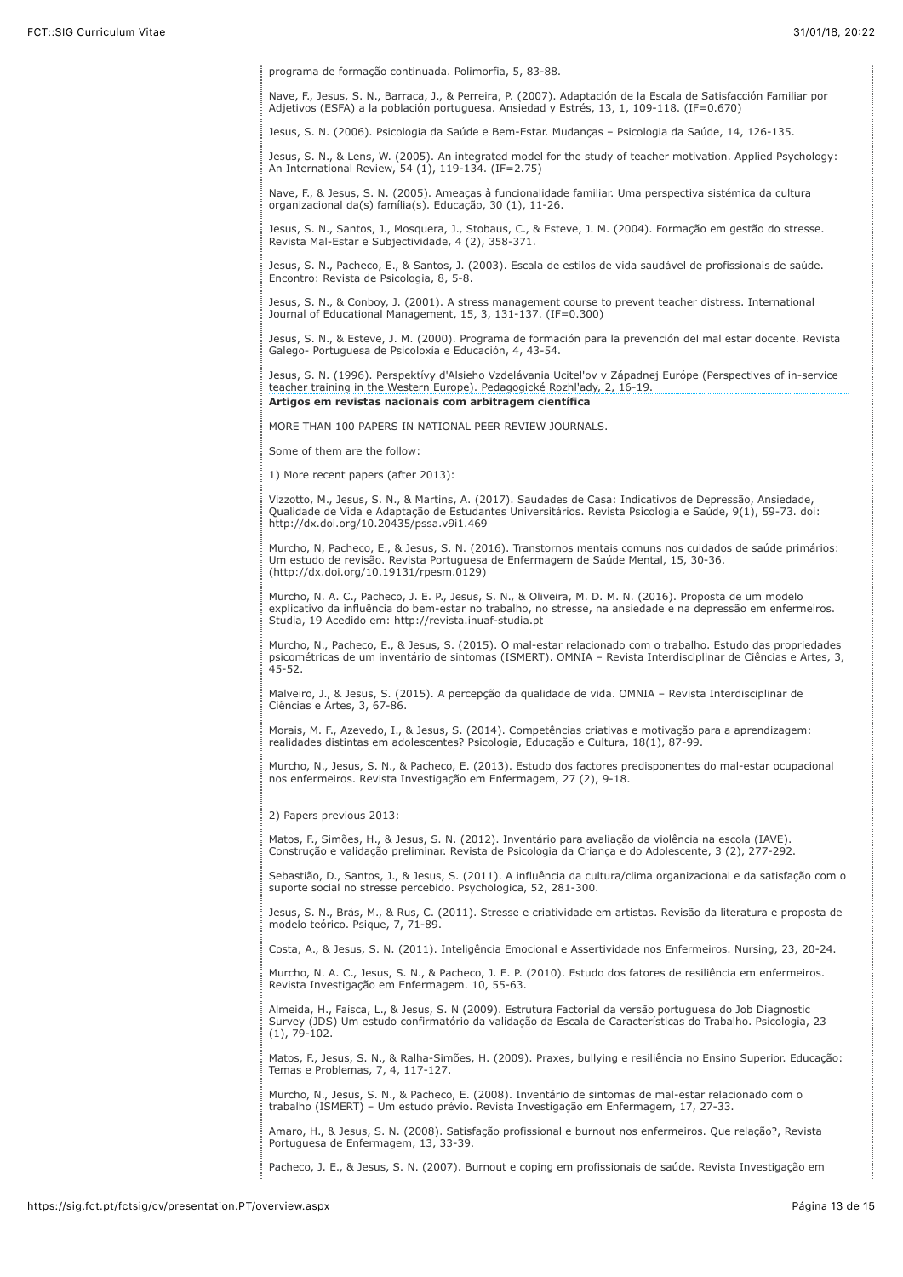programa de formação continuada. Polimorfia, 5, 83-88.

Nave, F., Jesus, S. N., Barraca, J., & Perreira, P. (2007). Adaptación de la Escala de Satisfacción Familiar por Adjetivos (ESFA) a la población portuguesa. Ansiedad y Estrés, 13, 1, 109-118. (IF=0.670)

Jesus, S. N. (2006). Psicologia da Saúde e Bem-Estar. Mudanças – Psicologia da Saúde, 14, 126-135.

Jesus, S. N., & Lens, W. (2005). An integrated model for the study of teacher motivation. Applied Psychology: An International Review, 54 (1), 119-134. (IF=2.75)

Nave, F., & Jesus, S. N. (2005). Ameaças à funcionalidade familiar. Uma perspectiva sistémica da cultura organizacional da(s) família(s). Educação, 30 (1), 11-26.

Jesus, S. N., Santos, J., Mosquera, J., Stobaus, C., & Esteve, J. M. (2004). Formação em gestão do stresse. Revista Mal-Estar e Subjectividade, 4 (2), 358-371.

Jesus, S. N., Pacheco, E., & Santos, J. (2003). Escala de estilos de vida saudável de profissionais de saúde. Encontro: Revista de Psicologia, 8, 5-8.

Jesus, S. N., & Conboy, J. (2001). A stress management course to prevent teacher distress. International Journal of Educational Management, 15, 3, 131-137. (IF=0.300)

Jesus, S. N., & Esteve, J. M. (2000). Programa de formación para la prevención del mal estar docente. Revista Galego- Portuguesa de Psicoloxía e Educación, 4, 43-54.

Jesus, S. N. (1996). Perspektívy d'Alsieho Vzdelávania Ucitel'ov v Západnej Európe (Perspectives of in-service teacher training in the Western Europe). Pedagogické Rozhl'ady, 2, 16-19. **Artigos em revistas nacionais com arbitragem científica**

MORE THAN 100 PAPERS IN NATIONAL PEER REVIEW JOURNALS.

Some of them are the follow:

1) More recent papers (after 2013):

Vizzotto, M., Jesus, S. N., & Martins, A. (2017). Saudades de Casa: Indicativos de Depressão, Ansiedade, Qualidade de Vida e Adaptação de Estudantes Universitários. Revista Psicologia e Saúde, 9(1), 59-73. doi: http://dx.doi.org/10.20435/pssa.v9i1.469

Murcho, N, Pacheco, E., & Jesus, S. N. (2016). Transtornos mentais comuns nos cuidados de saúde primários: Um estudo de revisão. Revista Portuguesa de Enfermagem de Saúde Mental, 15, 30-36. (http://dx.doi.org/10.19131/rpesm.0129)

Murcho, N. A. C., Pacheco, J. E. P., Jesus, S. N., & Oliveira, M. D. M. N. (2016). Proposta de um modelo explicativo da influência do bem-estar no trabalho, no stresse, na ansiedade e na depressão em enfermeiros. Studia, 19 Acedido em: http://revista.inuaf-studia.pt

Murcho, N., Pacheco, E., & Jesus, S. (2015). O mal-estar relacionado com o trabalho. Estudo das propriedades psicométricas de um inventário de sintomas (ISMERT). OMNIA – Revista Interdisciplinar de Ciências e Artes, 3, 45-52.

Malveiro, J., & Jesus, S. (2015). A percepção da qualidade de vida. OMNIA – Revista Interdisciplinar de Ciências e Artes, 3, 67-86.

Morais, M. F., Azevedo, I., & Jesus, S. (2014). Competências criativas e motivação para a aprendizagem: realidades distintas em adolescentes? Psicologia, Educação e Cultura, 18(1), 87-99.

Murcho, N., Jesus, S. N., & Pacheco, E. (2013). Estudo dos factores predisponentes do mal-estar ocupacional nos enfermeiros. Revista Investigação em Enfermagem, 27 (2), 9-18.

2) Papers previous 2013:

Matos, F., Simões, H., & Jesus, S. N. (2012). Inventário para avaliação da violência na escola (IAVE). Construção e validação preliminar. Revista de Psicologia da Criança e do Adolescente, 3 (2), 277-292.

Sebastião, D., Santos, J., & Jesus, S. (2011). A influência da cultura/clima organizacional e da satisfação com o suporte social no stresse percebido. Psychologica, 52, 281-300.

Jesus, S. N., Brás, M., & Rus, C. (2011). Stresse e criatividade em artistas. Revisão da literatura e proposta de modelo teórico. Psique, 7, 71-89.

Costa, A., & Jesus, S. N. (2011). Inteligência Emocional e Assertividade nos Enfermeiros. Nursing, 23, 20-24.

Murcho, N. A. C., Jesus, S. N., & Pacheco, J. E. P. (2010). Estudo dos fatores de resiliência em enfermeiros. Revista Investigação em Enfermagem. 10, 55-63.

Almeida, H., Faísca, L., & Jesus, S. N (2009). Estrutura Factorial da versão portuguesa do Job Diagnostic Survey (JDS) Um estudo confirmatório da validação da Escala de Características do Trabalho. Psicologia, 23 (1), 79-102.

Matos, F., Jesus, S. N., & Ralha-Simões, H. (2009). Praxes, bullying e resiliência no Ensino Superior. Educação: Temas e Problemas, 7, 4, 117-127.

Murcho, N., Jesus, S. N., & Pacheco, E. (2008). Inventário de sintomas de mal-estar relacionado com o trabalho (ISMERT) – Um estudo prévio. Revista Investigação em Enfermagem, 17, 27-33.

Amaro, H., & Jesus, S. N. (2008). Satisfação profissional e burnout nos enfermeiros. Que relação?, Revista Portuguesa de Enfermagem, 13, 33-39.

Pacheco, J. E., & Jesus, S. N. (2007). Burnout e coping em profissionais de saúde. Revista Investigação em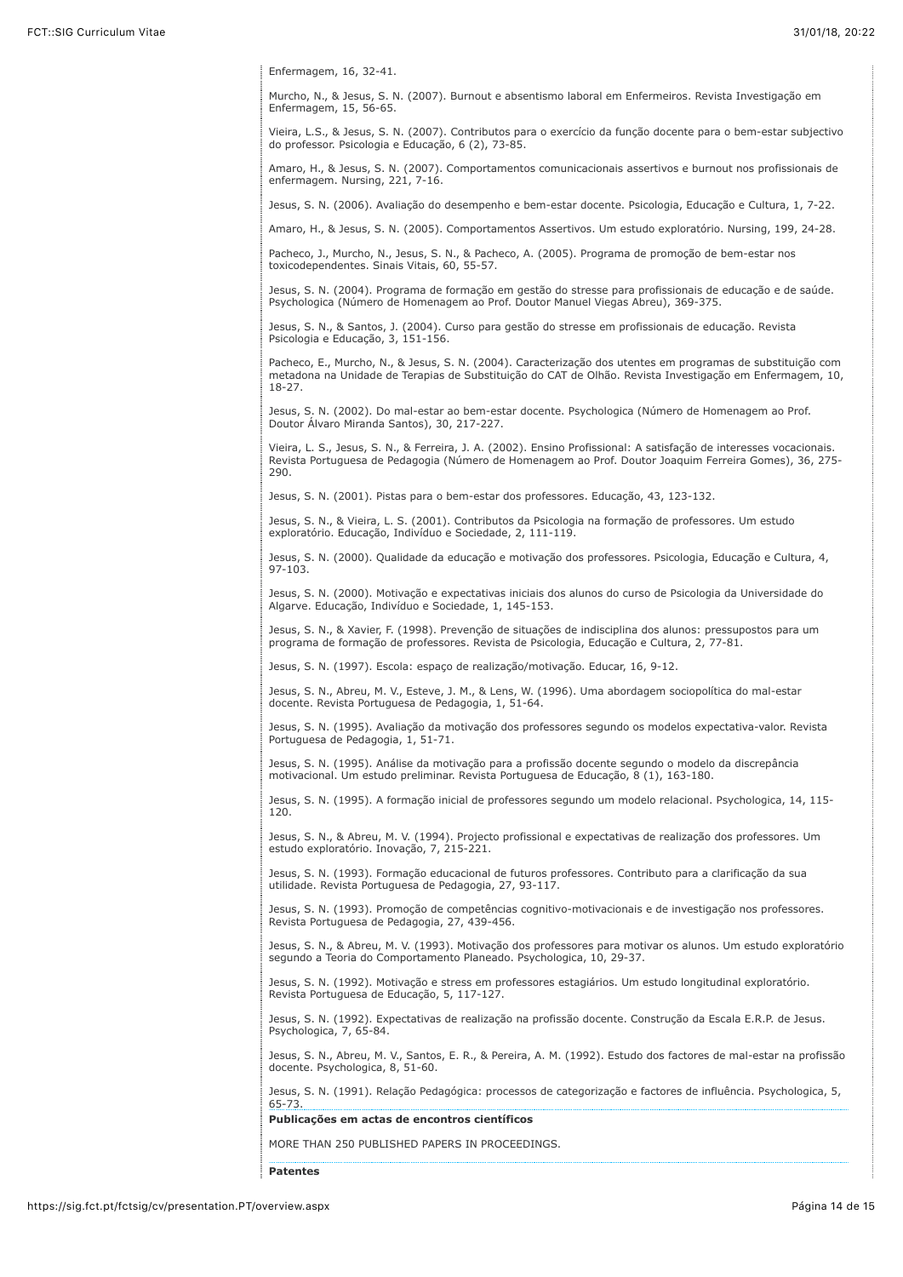Enfermagem, 16, 32-41.

Murcho, N., & Jesus, S. N. (2007). Burnout e absentismo laboral em Enfermeiros. Revista Investigação em Enfermagem, 15, 56-65.

Vieira, L.S., & Jesus, S. N. (2007). Contributos para o exercício da função docente para o bem-estar subjectivo do professor. Psicologia e Educação, 6 (2), 73-85.

Amaro, H., & Jesus, S. N. (2007). Comportamentos comunicacionais assertivos e burnout nos profissionais de enfermagem. Nursing, 221, 7-16.

Jesus, S. N. (2006). Avaliação do desempenho e bem-estar docente. Psicologia, Educação e Cultura, 1, 7-22.

Amaro, H., & Jesus, S. N. (2005). Comportamentos Assertivos. Um estudo exploratório. Nursing, 199, 24-28.

Pacheco, J., Murcho, N., Jesus, S. N., & Pacheco, A. (2005). Programa de promoção de bem-estar nos toxicodependentes. Sinais Vitais, 60, 55-57.

Jesus, S. N. (2004). Programa de formação em gestão do stresse para profissionais de educação e de saúde. Psychologica (Número de Homenagem ao Prof. Doutor Manuel Viegas Abreu), 369-375.

Jesus, S. N., & Santos, J. (2004). Curso para gestão do stresse em profissionais de educação. Revista Psicologia e Educação, 3, 151-156.

Pacheco, E., Murcho, N., & Jesus, S. N. (2004). Caracterização dos utentes em programas de substituição com metadona na Unidade de Terapias de Substituição do CAT de Olhão. Revista Investigação em Enfermagem, 10, 18-27.

Jesus, S. N. (2002). Do mal-estar ao bem-estar docente. Psychologica (Número de Homenagem ao Prof. Doutor Álvaro Miranda Santos), 30, 217-227.

Vieira, L. S., Jesus, S. N., & Ferreira, J. A. (2002). Ensino Profissional: A satisfação de interesses vocacionais. Revista Portuguesa de Pedagogia (Número de Homenagem ao Prof. Doutor Joaquim Ferreira Gomes), 36, 275- 290.

Jesus, S. N. (2001). Pistas para o bem-estar dos professores. Educação, 43, 123-132.

Jesus, S. N., & Vieira, L. S. (2001). Contributos da Psicologia na formação de professores. Um estudo exploratório. Educação, Indivíduo e Sociedade, 2, 111-119.

Jesus, S. N. (2000). Qualidade da educação e motivação dos professores. Psicologia, Educação e Cultura, 4, 97-103.

Jesus, S. N. (2000). Motivação e expectativas iniciais dos alunos do curso de Psicologia da Universidade do Algarve. Educação, Indivíduo e Sociedade, 1, 145-153.

Jesus, S. N., & Xavier, F. (1998). Prevenção de situações de indisciplina dos alunos: pressupostos para um programa de formação de professores. Revista de Psicologia, Educação e Cultura, 2, 77-81.

Jesus, S. N. (1997). Escola: espaço de realização/motivação. Educar, 16, 9-12.

Jesus, S. N., Abreu, M. V., Esteve, J. M., & Lens, W. (1996). Uma abordagem sociopolítica do mal-estar docente. Revista Portuguesa de Pedagogia, 1, 51-64.

Jesus, S. N. (1995). Avaliação da motivação dos professores segundo os modelos expectativa-valor. Revista Portuguesa de Pedagogia, 1, 51-71.

Jesus, S. N. (1995). Análise da motivação para a profissão docente segundo o modelo da discrepância motivacional. Um estudo preliminar. Revista Portuguesa de Educação, 8 (1), 163-180.

Jesus, S. N. (1995). A formação inicial de professores segundo um modelo relacional. Psychologica, 14, 115- 120.

Jesus, S. N., & Abreu, M. V. (1994). Projecto profissional e expectativas de realização dos professores. Um estudo exploratório. Inovação, 7, 215-221.

Jesus, S. N. (1993). Formação educacional de futuros professores. Contributo para a clarificação da sua utilidade. Revista Portuguesa de Pedagogia, 27, 93-117.

Jesus, S. N. (1993). Promoção de competências cognitivo-motivacionais e de investigação nos professores. Revista Portuguesa de Pedagogia, 27, 439-456.

Jesus, S. N., & Abreu, M. V. (1993). Motivação dos professores para motivar os alunos. Um estudo exploratório segundo a Teoria do Comportamento Planeado. Psychologica, 10, 29-37.

Jesus, S. N. (1992). Motivação e stress em professores estagiários. Um estudo longitudinal exploratório. Revista Portuguesa de Educação, 5, 117-127.

Jesus, S. N. (1992). Expectativas de realização na profissão docente. Construção da Escala E.R.P. de Jesus. Psychologica, 7, 65-84.

Jesus, S. N., Abreu, M. V., Santos, E. R., & Pereira, A. M. (1992). Estudo dos factores de mal-estar na profissão docente. Psychologica, 8, 51-60.

Jesus, S. N. (1991). Relação Pedagógica: processos de categorização e factores de influência. Psychologica, 5, 65-73.

**Publicações em actas de encontros científicos**

MORE THAN 250 PUBLISHED PAPERS IN PROCEEDINGS.

**Patentes**